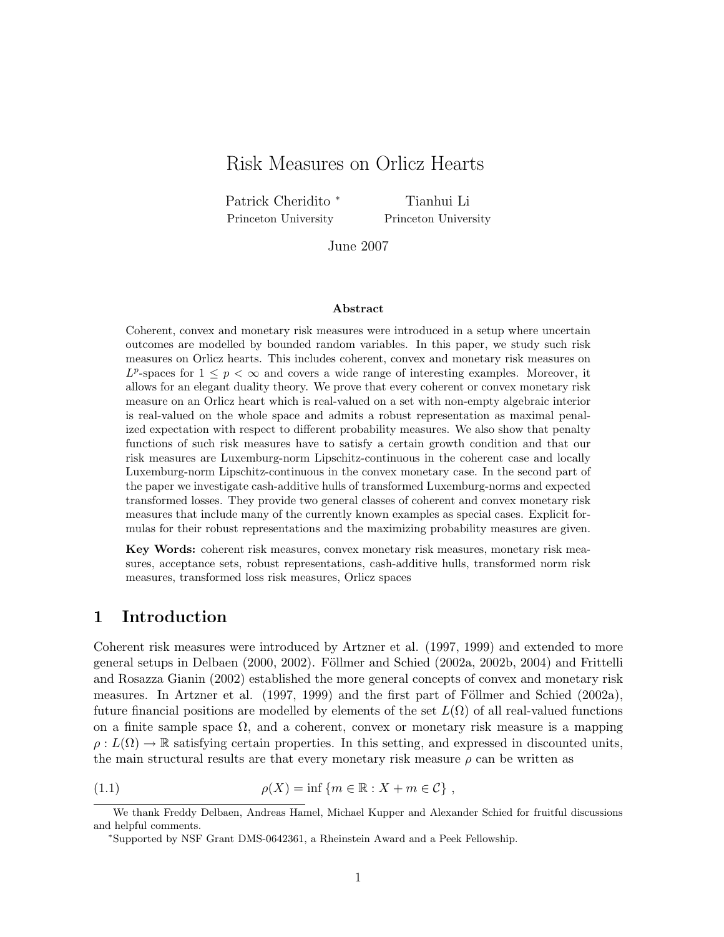# Risk Measures on Orlicz Hearts

Patrick Cheridito <sup>∗</sup> Princeton University

Tianhui Li Princeton University

June 2007

#### Abstract

Coherent, convex and monetary risk measures were introduced in a setup where uncertain outcomes are modelled by bounded random variables. In this paper, we study such risk measures on Orlicz hearts. This includes coherent, convex and monetary risk measures on  $L^p$ -spaces for  $1 \leq p < \infty$  and covers a wide range of interesting examples. Moreover, it allows for an elegant duality theory. We prove that every coherent or convex monetary risk measure on an Orlicz heart which is real-valued on a set with non-empty algebraic interior is real-valued on the whole space and admits a robust representation as maximal penalized expectation with respect to different probability measures. We also show that penalty functions of such risk measures have to satisfy a certain growth condition and that our risk measures are Luxemburg-norm Lipschitz-continuous in the coherent case and locally Luxemburg-norm Lipschitz-continuous in the convex monetary case. In the second part of the paper we investigate cash-additive hulls of transformed Luxemburg-norms and expected transformed losses. They provide two general classes of coherent and convex monetary risk measures that include many of the currently known examples as special cases. Explicit formulas for their robust representations and the maximizing probability measures are given.

Key Words: coherent risk measures, convex monetary risk measures, monetary risk measures, acceptance sets, robust representations, cash-additive hulls, transformed norm risk measures, transformed loss risk measures, Orlicz spaces

## 1 Introduction

Coherent risk measures were introduced by Artzner et al. (1997, 1999) and extended to more general setups in Delbaen (2000, 2002). Föllmer and Schied (2002a, 2002b, 2004) and Frittelli and Rosazza Gianin (2002) established the more general concepts of convex and monetary risk measures. In Artzner et al.  $(1997, 1999)$  and the first part of Föllmer and Schied  $(2002a)$ , future financial positions are modelled by elements of the set  $L(\Omega)$  of all real-valued functions on a finite sample space  $\Omega$ , and a coherent, convex or monetary risk measure is a mapping  $\rho: L(\Omega) \to \mathbb{R}$  satisfying certain properties. In this setting, and expressed in discounted units, the main structural results are that every monetary risk measure  $\rho$  can be written as

<sup>(1.1)</sup>  $\rho(X) = \inf \{ m \in \mathbb{R} : X + m \in \mathcal{C} \},$ 

We thank Freddy Delbaen, Andreas Hamel, Michael Kupper and Alexander Schied for fruitful discussions and helpful comments.

<sup>∗</sup>Supported by NSF Grant DMS-0642361, a Rheinstein Award and a Peek Fellowship.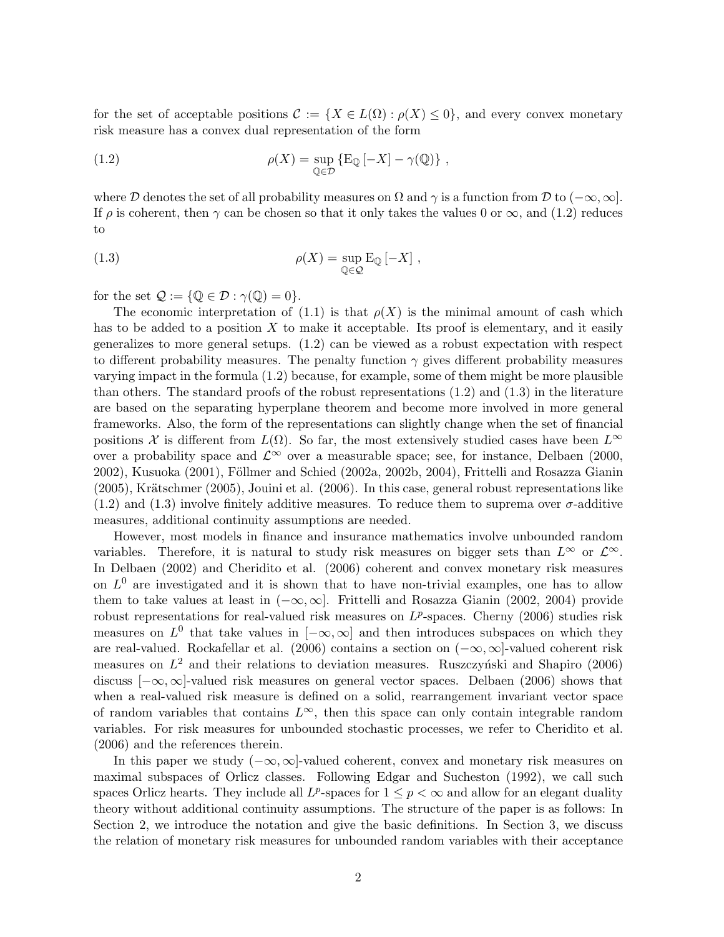for the set of acceptable positions  $\mathcal{C} := \{X \in L(\Omega) : \rho(X) \leq 0\}$ , and every convex monetary risk measure has a convex dual representation of the form

(1.2) 
$$
\rho(X) = \sup_{\mathbb{Q} \in \mathcal{D}} \{ \mathbb{E}_{\mathbb{Q}} \left[ -X \right] - \gamma(\mathbb{Q}) \},
$$

where D denotes the set of all probability measures on  $\Omega$  and  $\gamma$  is a function from D to  $(-\infty, \infty]$ . If  $\rho$  is coherent, then  $\gamma$  can be chosen so that it only takes the values 0 or  $\infty$ , and (1.2) reduces to

(1.3) 
$$
\rho(X) = \sup_{\mathbb{Q} \in \mathcal{Q}} E_{\mathbb{Q}} [-X],
$$

for the set  $\mathcal{Q} := \{ \mathbb{Q} \in \mathcal{D} : \gamma(\mathbb{Q}) = 0 \}.$ 

The economic interpretation of (1.1) is that  $\rho(X)$  is the minimal amount of cash which has to be added to a position  $X$  to make it acceptable. Its proof is elementary, and it easily generalizes to more general setups. (1.2) can be viewed as a robust expectation with respect to different probability measures. The penalty function  $\gamma$  gives different probability measures varying impact in the formula (1.2) because, for example, some of them might be more plausible than others. The standard proofs of the robust representations (1.2) and (1.3) in the literature are based on the separating hyperplane theorem and become more involved in more general frameworks. Also, the form of the representations can slightly change when the set of financial positions X is different from  $L(\Omega)$ . So far, the most extensively studied cases have been  $L^{\infty}$ over a probability space and  $\mathcal{L}^{\infty}$  over a measurable space; see, for instance, Delbaen (2000, 2002), Kusuoka (2001), Föllmer and Schied (2002a, 2002b, 2004), Frittelli and Rosazza Gianin  $(2005)$ , Krätschmer  $(2005)$ , Jouini et al.  $(2006)$ . In this case, general robust representations like  $(1.2)$  and  $(1.3)$  involve finitely additive measures. To reduce them to suprema over  $\sigma$ -additive measures, additional continuity assumptions are needed.

However, most models in finance and insurance mathematics involve unbounded random variables. Therefore, it is natural to study risk measures on bigger sets than  $L^{\infty}$  or  $\mathcal{L}^{\infty}$ . In Delbaen (2002) and Cheridito et al. (2006) coherent and convex monetary risk measures on  $L^0$  are investigated and it is shown that to have non-trivial examples, one has to allow them to take values at least in  $(-\infty, \infty]$ . Frittelli and Rosazza Gianin (2002, 2004) provide robust representations for real-valued risk measures on  $L^p$ -spaces. Cherny (2006) studies risk measures on  $L^0$  that take values in  $[-\infty, \infty]$  and then introduces subspaces on which they are real-valued. Rockafellar et al. (2006) contains a section on  $(-\infty, \infty]$ -valued coherent risk measures on  $L^2$  and their relations to deviation measures. Ruszczyński and Shapiro (2006) discuss  $[-\infty, \infty]$ -valued risk measures on general vector spaces. Delbaen (2006) shows that when a real-valued risk measure is defined on a solid, rearrangement invariant vector space of random variables that contains  $L^{\infty}$ , then this space can only contain integrable random variables. For risk measures for unbounded stochastic processes, we refer to Cheridito et al. (2006) and the references therein.

In this paper we study  $(-\infty,\infty]$ -valued coherent, convex and monetary risk measures on maximal subspaces of Orlicz classes. Following Edgar and Sucheston (1992), we call such spaces Orlicz hearts. They include all  $L^p$ -spaces for  $1 \leq p < \infty$  and allow for an elegant duality theory without additional continuity assumptions. The structure of the paper is as follows: In Section 2, we introduce the notation and give the basic definitions. In Section 3, we discuss the relation of monetary risk measures for unbounded random variables with their acceptance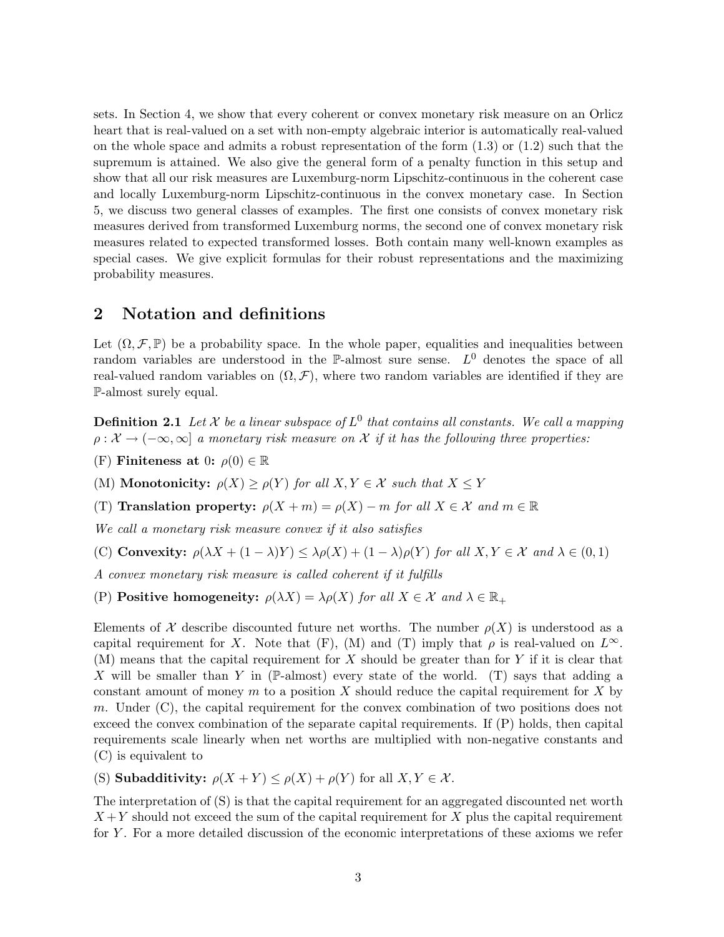sets. In Section 4, we show that every coherent or convex monetary risk measure on an Orlicz heart that is real-valued on a set with non-empty algebraic interior is automatically real-valued on the whole space and admits a robust representation of the form  $(1.3)$  or  $(1.2)$  such that the supremum is attained. We also give the general form of a penalty function in this setup and show that all our risk measures are Luxemburg-norm Lipschitz-continuous in the coherent case and locally Luxemburg-norm Lipschitz-continuous in the convex monetary case. In Section 5, we discuss two general classes of examples. The first one consists of convex monetary risk measures derived from transformed Luxemburg norms, the second one of convex monetary risk measures related to expected transformed losses. Both contain many well-known examples as special cases. We give explicit formulas for their robust representations and the maximizing probability measures.

## 2 Notation and definitions

Let  $(\Omega, \mathcal{F}, \mathbb{P})$  be a probability space. In the whole paper, equalities and inequalities between random variables are understood in the P-almost sure sense.  $L^0$  denotes the space of all real-valued random variables on  $(\Omega, \mathcal{F})$ , where two random variables are identified if they are P-almost surely equal.

**Definition 2.1** Let X be a linear subspace of  $L^0$  that contains all constants. We call a mapping  $\rho: \mathcal{X} \to (-\infty, \infty]$  a monetary risk measure on X if it has the following three properties:

(F) Finiteness at 0:  $\rho(0) \in \mathbb{R}$ 

(M) **Monotonicity:**  $\rho(X) \ge \rho(Y)$  for all  $X, Y \in \mathcal{X}$  such that  $X \le Y$ 

(T) Translation property:  $\rho(X + m) = \rho(X) - m$  for all  $X \in \mathcal{X}$  and  $m \in \mathbb{R}$ 

We call a monetary risk measure convex if it also satisfies

(C) Convexity:  $\rho(\lambda X + (1 - \lambda)Y) \leq \lambda \rho(X) + (1 - \lambda) \rho(Y)$  for all  $X, Y \in \mathcal{X}$  and  $\lambda \in (0, 1)$ 

A convex monetary risk measure is called coherent if it fulfills

(P) **Positive homogeneity:**  $\rho(\lambda X) = \lambda \rho(X)$  for all  $X \in \mathcal{X}$  and  $\lambda \in \mathbb{R}_+$ 

Elements of X describe discounted future net worths. The number  $\rho(X)$  is understood as a capital requirement for X. Note that (F), (M) and (T) imply that  $\rho$  is real-valued on  $L^{\infty}$ .  $(M)$  means that the capital requirement for X should be greater than for Y if it is clear that X will be smaller than Y in (P-almost) every state of the world. (T) says that adding a constant amount of money m to a position X should reduce the capital requirement for X by m. Under  $(C)$ , the capital requirement for the convex combination of two positions does not exceed the convex combination of the separate capital requirements. If (P) holds, then capital requirements scale linearly when net worths are multiplied with non-negative constants and (C) is equivalent to

(S) **Subadditivity:**  $\rho(X + Y) \leq \rho(X) + \rho(Y)$  for all  $X, Y \in \mathcal{X}$ .

The interpretation of (S) is that the capital requirement for an aggregated discounted net worth  $X + Y$  should not exceed the sum of the capital requirement for X plus the capital requirement for Y . For a more detailed discussion of the economic interpretations of these axioms we refer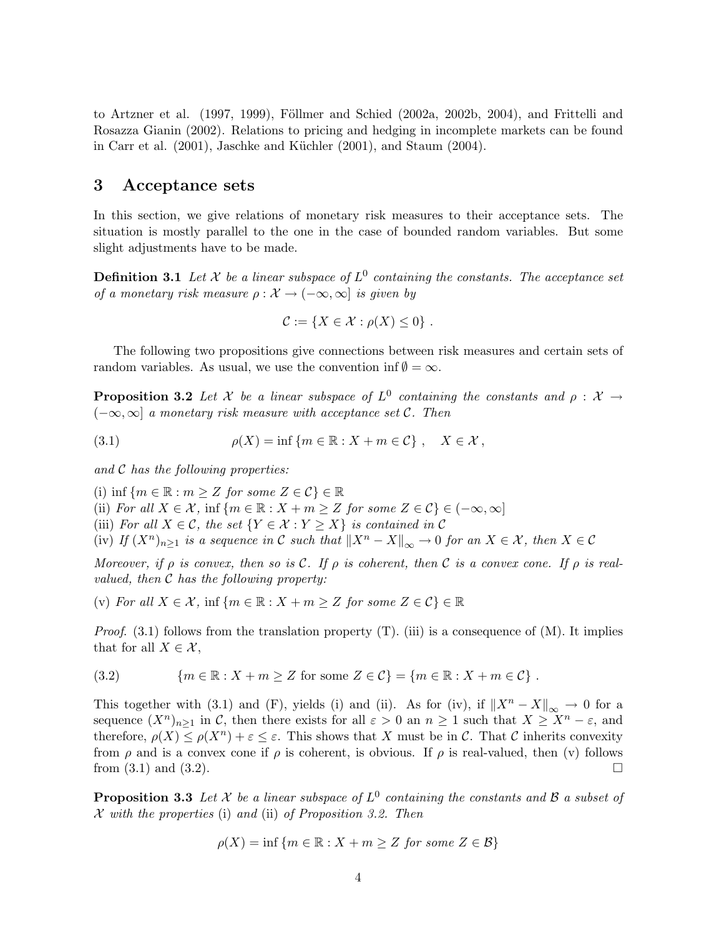to Artzner et al.  $(1997, 1999)$ , Föllmer and Schied  $(2002a, 2002b, 2004)$ , and Frittelli and Rosazza Gianin (2002). Relations to pricing and hedging in incomplete markets can be found in Carr et al.  $(2001)$ , Jaschke and Küchler  $(2001)$ , and Staum  $(2004)$ .

### 3 Acceptance sets

In this section, we give relations of monetary risk measures to their acceptance sets. The situation is mostly parallel to the one in the case of bounded random variables. But some slight adjustments have to be made.

**Definition 3.1** Let X be a linear subspace of  $L^0$  containing the constants. The acceptance set of a monetary risk measure  $\rho : \mathcal{X} \to (-\infty, \infty]$  is given by

$$
\mathcal{C} := \{ X \in \mathcal{X} : \rho(X) \leq 0 \} .
$$

The following two propositions give connections between risk measures and certain sets of random variables. As usual, we use the convention inf  $\emptyset = \infty$ .

**Proposition 3.2** Let X be a linear subspace of  $L^0$  containing the constants and  $\rho : X \rightarrow$  $(-\infty, \infty]$  a monetary risk measure with acceptance set C. Then

(3.1) 
$$
\rho(X) = \inf \{ m \in \mathbb{R} : X + m \in \mathcal{C} \}, \quad X \in \mathcal{X},
$$

and  $C$  has the following properties:

(i) inf  $\{m \in \mathbb{R} : m \geq Z \text{ for some } Z \in \mathcal{C} \} \in \mathbb{R}$ 

(ii) For all  $X \in \mathcal{X}$ , inf  $\{m \in \mathbb{R} : X + m \geq Z \text{ for some } Z \in \mathcal{C} \} \in (-\infty, \infty]$ 

(iii) For all  $X \in \mathcal{C}$ , the set  $\{Y \in \mathcal{X} : Y \geq X\}$  is contained in  $\mathcal{C}$ 

(iv) If  $(X^n)_{n\geq 1}$  is a sequence in C such that  $||X^n - X||_{\infty} \to 0$  for an  $X \in \mathcal{X}$ , then  $X \in \mathcal{C}$ 

Moreover, if  $\rho$  is convex, then so is C. If  $\rho$  is coherent, then C is a convex cone. If  $\rho$  is realvalued, then  $C$  has the following property:

(v) For all  $X \in \mathcal{X}$ , inf  $\{m \in \mathbb{R} : X + m \geq Z \text{ for some } Z \in \mathcal{C} \} \in \mathbb{R}$ 

*Proof.* (3.1) follows from the translation property  $(T)$ . (iii) is a consequence of  $(M)$ . It implies that for all  $X \in \mathcal{X}$ ,

$$
(3.2) \qquad \{m \in \mathbb{R} : X + m \ge Z \text{ for some } Z \in \mathcal{C}\} = \{m \in \mathbb{R} : X + m \in \mathcal{C}\}.
$$

This together with (3.1) and (F), yields (i) and (ii). As for (iv), if  $||X^n - X||_{\infty} \to 0$  for a sequence  $(X^n)_{n\geq 1}$  in C, then there exists for all  $\varepsilon > 0$  an  $n \geq 1$  such that  $X \geq X^n - \varepsilon$ , and therefore,  $\rho(X) \leq \rho(X^n) + \varepsilon \leq \varepsilon$ . This shows that X must be in C. That C inherits convexity from  $\rho$  and is a convex cone if  $\rho$  is coherent, is obvious. If  $\rho$  is real-valued, then (v) follows from  $(3.1)$  and  $(3.2)$ .

**Proposition 3.3** Let X be a linear subspace of  $L^0$  containing the constants and B a subset of  $\mathcal X$  with the properties (i) and (ii) of Proposition 3.2. Then

$$
\rho(X) = \inf \{ m \in \mathbb{R} : X + m \ge Z \text{ for some } Z \in \mathcal{B} \}
$$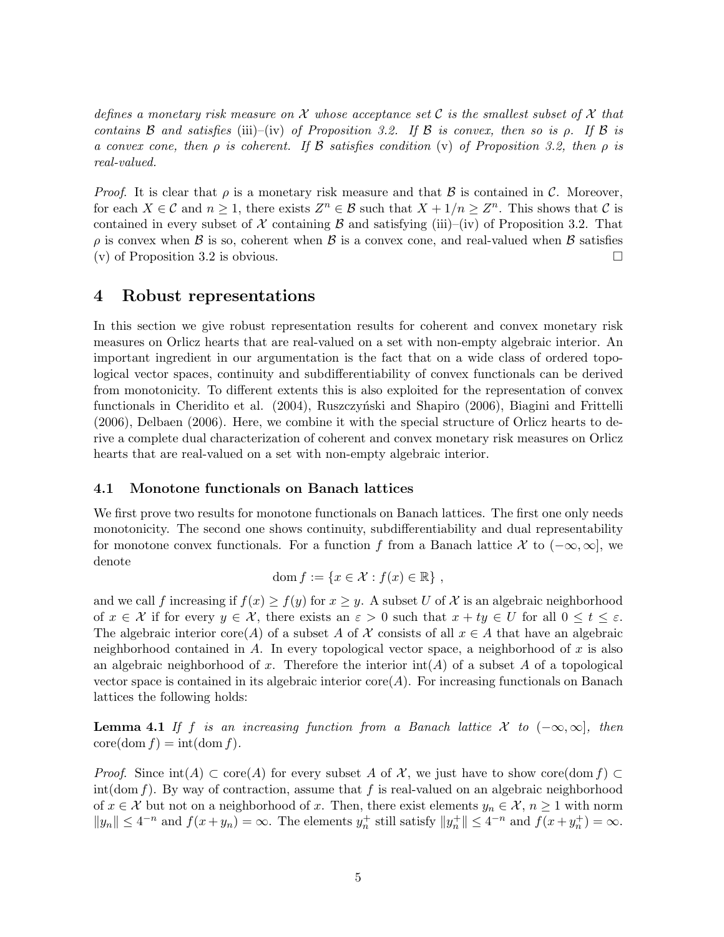defines a monetary risk measure on X whose acceptance set C is the smallest subset of X that contains B and satisfies (iii)–(iv) of Proposition 3.2. If B is convex, then so is  $\rho$ . If B is a convex cone, then  $\rho$  is coherent. If  $\beta$  satisfies condition (v) of Proposition 3.2, then  $\rho$  is real-valued.

*Proof.* It is clear that  $\rho$  is a monetary risk measure and that B is contained in C. Moreover, for each  $X \in \mathcal{C}$  and  $n \geq 1$ , there exists  $Z^n \in \mathcal{B}$  such that  $X + 1/n \geq Z^n$ . This shows that  $\mathcal{C}$  is contained in every subset of X containing  $\beta$  and satisfying (iii)–(iv) of Proposition 3.2. That  $\rho$  is convex when  $\beta$  is so, coherent when  $\beta$  is a convex cone, and real-valued when  $\beta$  satisfies (v) of Proposition 3.2 is obvious.  $\Box$ 

### 4 Robust representations

In this section we give robust representation results for coherent and convex monetary risk measures on Orlicz hearts that are real-valued on a set with non-empty algebraic interior. An important ingredient in our argumentation is the fact that on a wide class of ordered topological vector spaces, continuity and subdifferentiability of convex functionals can be derived from monotonicity. To different extents this is also exploited for the representation of convex functionals in Cheridito et al. (2004), Ruszczyński and Shapiro (2006), Biagini and Frittelli (2006), Delbaen (2006). Here, we combine it with the special structure of Orlicz hearts to derive a complete dual characterization of coherent and convex monetary risk measures on Orlicz hearts that are real-valued on a set with non-empty algebraic interior.

#### 4.1 Monotone functionals on Banach lattices

We first prove two results for monotone functionals on Banach lattices. The first one only needs monotonicity. The second one shows continuity, subdifferentiability and dual representability for monotone convex functionals. For a function f from a Banach lattice X to  $(-\infty, \infty]$ , we denote

$$
\mathrm{dom}\, f := \{ x \in \mathcal{X} : f(x) \in \mathbb{R} \} ,
$$

and we call f increasing if  $f(x) \ge f(y)$  for  $x \ge y$ . A subset U of X is an algebraic neighborhood of  $x \in \mathcal{X}$  if for every  $y \in \mathcal{X}$ , there exists an  $\varepsilon > 0$  such that  $x + ty \in U$  for all  $0 \le t \le \varepsilon$ . The algebraic interior core(A) of a subset A of X consists of all  $x \in A$  that have an algebraic neighborhood contained in  $A$ . In every topological vector space, a neighborhood of  $x$  is also an algebraic neighborhood of x. Therefore the interior  $\text{int}(A)$  of a subset A of a topological vector space is contained in its algebraic interior  $\text{core}(A)$ . For increasing functionals on Banach lattices the following holds:

**Lemma 4.1** If f is an increasing function from a Banach lattice X to  $(-\infty, \infty]$ , then  $\operatorname{core}(\operatorname{dom} f) = \operatorname{int}(\operatorname{dom} f).$ 

*Proof.* Since  $int(A) \subset core(A)$  for every subset A of X, we just have to show core(dom f)  $\subset$ int(dom f). By way of contraction, assume that f is real-valued on an algebraic neighborhood of  $x \in \mathcal{X}$  but not on a neighborhood of x. Then, there exist elements  $y_n \in \mathcal{X}$ ,  $n \geq 1$  with norm  $||y_n|| \leq 4^{-n}$  and  $f(x+y_n) = \infty$ . The elements  $y_n^+$  still satisfy  $||y_n^+|| \leq 4^{-n}$  and  $f(x+y_n^+) = \infty$ .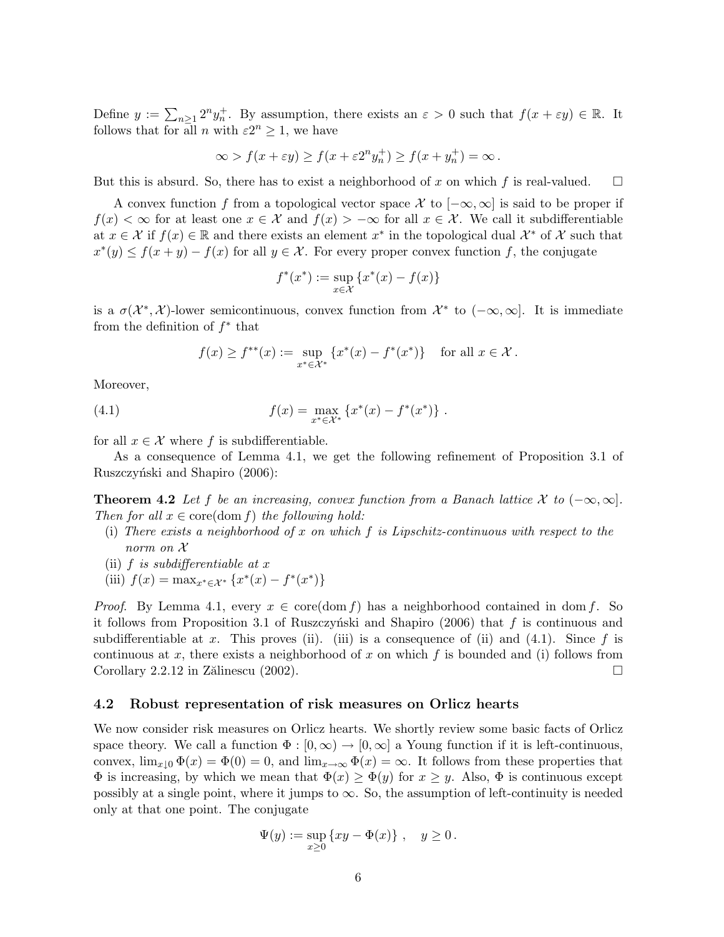Define  $y := \sum_{n\geq 1} 2^n y_n^+$ . By assumption, there exists an  $\varepsilon > 0$  such that  $f(x + \varepsilon y) \in \mathbb{R}$ . It follows that for all *n* with  $\varepsilon 2^n \geq 1$ , we have

$$
\infty > f(x + \varepsilon y) \ge f(x + \varepsilon 2^n y_n^+) \ge f(x + y_n^+) = \infty.
$$

But this is absurd. So, there has to exist a neighborhood of x on which f is real-valued.  $\Box$ 

A convex function f from a topological vector space X to  $[-\infty, \infty]$  is said to be proper if  $f(x) < \infty$  for at least one  $x \in \mathcal{X}$  and  $f(x) > -\infty$  for all  $x \in \mathcal{X}$ . We call it subdifferentiable at  $x \in \mathcal{X}$  if  $f(x) \in \mathbb{R}$  and there exists an element  $x^*$  in the topological dual  $\mathcal{X}^*$  of  $\mathcal{X}$  such that  $x^*(y) \le f(x+y) - f(x)$  for all  $y \in \mathcal{X}$ . For every proper convex function f, the conjugate

$$
f^*(x^*) := \sup_{x \in \mathcal{X}} \{ x^*(x) - f(x) \}
$$

is a  $\sigma(\mathcal{X}^*, \mathcal{X})$ -lower semicontinuous, convex function from  $\mathcal{X}^*$  to  $(-\infty, \infty]$ . It is immediate from the definition of  $f^*$  that

$$
f(x) \ge f^{**}(x) := \sup_{x^* \in \mathcal{X}^*} \{x^*(x) - f^*(x^*)\}
$$
 for all  $x \in \mathcal{X}$ .

Moreover,

(4.1) 
$$
f(x) = \max_{x^* \in \mathcal{X}^*} \{x^*(x) - f^*(x^*)\}.
$$

for all  $x \in \mathcal{X}$  where f is subdifferentiable.

As a consequence of Lemma 4.1, we get the following refinement of Proposition 3.1 of Ruszczyński and Shapiro (2006):

**Theorem 4.2** Let f be an increasing, convex function from a Banach lattice X to  $(-\infty, \infty]$ . Then for all  $x \in \text{core}(\text{dom } f)$  the following hold:

- (i) There exists a neighborhood of x on which f is Lipschitz-continuous with respect to the norm on X
- (ii)  $f$  is subdifferentiable at  $x$
- (iii)  $f(x) = \max_{x^* \in \mathcal{X}^*} \{x^*(x) f^*(x^*)\}$

*Proof.* By Lemma 4.1, every  $x \in \text{core}(\text{dom } f)$  has a neighborhood contained in dom f. So it follows from Proposition 3.1 of Ruszczyński and Shapiro (2006) that f is continuous and subdifferentiable at x. This proves (ii). (iii) is a consequence of (ii) and (4.1). Since f is continuous at x, there exists a neighborhood of x on which f is bounded and (i) follows from Corollary 2.2.12 in Zălinescu (2002).  $\Box$ 

#### 4.2 Robust representation of risk measures on Orlicz hearts

We now consider risk measures on Orlicz hearts. We shortly review some basic facts of Orlicz space theory. We call a function  $\Phi : [0,\infty) \to [0,\infty]$  a Young function if it is left-continuous, convex,  $\lim_{x\downarrow0} \Phi(x) = \Phi(0) = 0$ , and  $\lim_{x\to\infty} \Phi(x) = \infty$ . It follows from these properties that  $\Phi$  is increasing, by which we mean that  $\Phi(x) \geq \Phi(y)$  for  $x \geq y$ . Also,  $\Phi$  is continuous except possibly at a single point, where it jumps to  $\infty$ . So, the assumption of left-continuity is needed only at that one point. The conjugate

$$
\Psi(y) := \sup_{x \ge 0} \{xy - \Phi(x)\}, \quad y \ge 0.
$$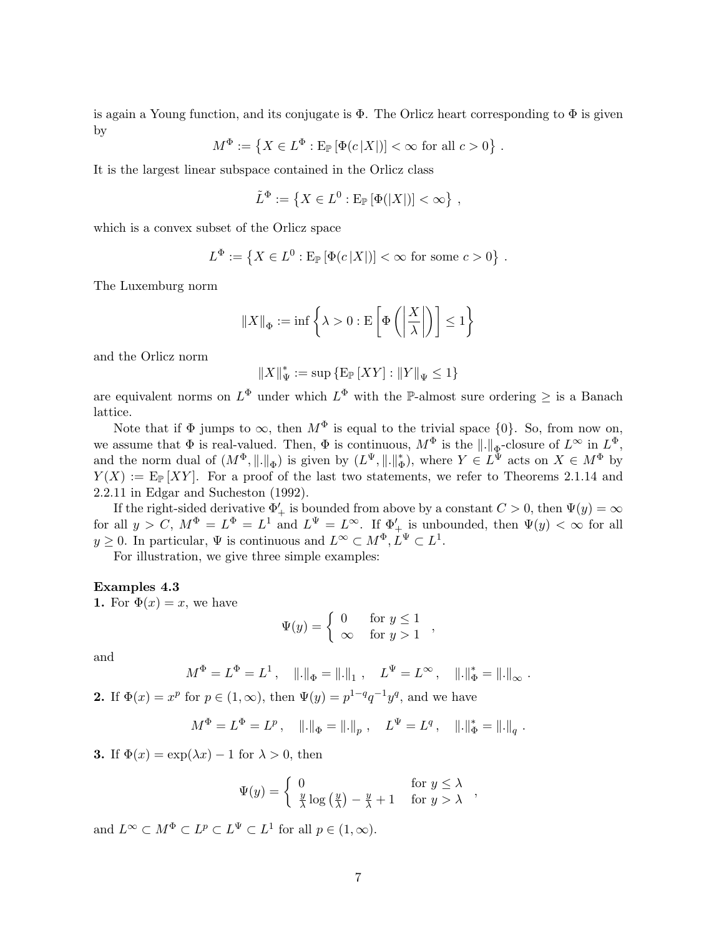is again a Young function, and its conjugate is  $\Phi$ . The Orlicz heart corresponding to  $\Phi$  is given by ª

$$
M^{\Phi} := \{ X \in L^{\Phi} : \text{E}_{\mathbb{P}} \left[ \Phi(c|X|) \right] < \infty \text{ for all } c > 0 \} .
$$

It is the largest linear subspace contained in the Orlicz class

$$
\tilde{L}^{\Phi} := \left\{ X \in L^0 : \mathrm{E}_{\mathbb{P}} \left[ \Phi(|X|) \right] < \infty \right\},\,
$$

which is a convex subset of the Orlicz space

$$
L^{\Phi} := \left\{ X \in L^0 : \mathrm{E}_{\mathbb{P}} \left[ \Phi(c|X|) \right] < \infty \text{ for some } c > 0 \right\} \, .
$$

The Luxemburg norm

$$
\|X\|_{\Phi} := \inf \left\{ \lambda > 0 : \mathcal{E}\left[\Phi\left(\left|\frac{X}{\lambda}\right|\right)\right] \le 1 \right\}
$$

and the Orlicz norm

 $||X||_{\Psi}^* := \sup \{ \mathop{\mathbf{E}}_{\mathbb{P}} \left[ XY \right] : ||Y||_{\Psi} \leq 1 \}$ 

are equivalent norms on  $L^{\Phi}$  under which  $L^{\Phi}$  with the P-almost sure ordering  $\geq$  is a Banach lattice.

Note that if  $\Phi$  jumps to  $\infty$ , then  $M^{\Phi}$  is equal to the trivial space  $\{0\}$ . So, from now on, we assume that  $\Phi$  is real-valued. Then,  $\Phi$  is continuous,  $M^{\Phi}$  is the  $\|.\|_{\Phi}$ -closure of  $L^{\infty}$  in  $L^{\Phi}$ , and the norm dual of  $(M^{\Phi}, \|\. \|_{\Phi})$  is given by  $(L^{\Psi}, \|\. \|_{\Phi}^*$  $(\phi_{\Phi})$ , where  $Y \in L^{\Psi}$  acts on  $X \in M^{\Phi}$  by  $Y(X) := \mathbb{E}_{\mathbb{P}}[XY]$ . For a proof of the last two statements, we refer to Theorems 2.1.14 and 2.2.11 in Edgar and Sucheston (1992).

If the right-sided derivative  $\Phi'_{+}$  is bounded from above by a constant  $C > 0$ , then  $\Psi(y) = \infty$ for all  $y > C$ ,  $M^{\Phi} = L^{\Phi} = L^1$  and  $L^{\Psi} = L^{\infty}$ . If  $\Phi'_{+}$  is unbounded, then  $\Psi(y) < \infty$  for all  $y \geq 0$ . In particular,  $\Psi$  is continuous and  $L^{\infty} \subset M^{\Phi}, L^{\Psi} \subset L^{1}$ .

For illustration, we give three simple examples:

#### Examples 4.3

1. For  $\Phi(x) = x$ , we have

$$
\Psi(y) = \begin{cases} 0 & \text{for } y \le 1 \\ \infty & \text{for } y > 1 \end{cases}
$$

and

$$
M^{\Phi} = L^{\Phi} = L^1, \quad \|\cdot\|_{\Phi} = \|\cdot\|_1, \quad L^{\Psi} = L^{\infty}, \quad \|\cdot\|_{\Phi}^* = \|\cdot\|_{\infty}.
$$

**2.** If  $\Phi(x) = x^p$  for  $p \in (1, \infty)$ , then  $\Psi(y) = p^{1-q}q^{-1}y^q$ , and we have

$$
M^{\Phi} = L^{\Phi} = L^p \,, \quad \|\raisebox{.4ex}{.}\|_{\Phi} = \|\raisebox{.4ex}{.}\|_p \,, \quad L^{\Psi} = L^q \,, \quad \|\raisebox{.4ex}{.}\|_{\Phi}^* = \|\raisebox{.4ex}{.}\|_q \;.
$$

3. If  $\Phi(x) = \exp(\lambda x) - 1$  for  $\lambda > 0$ , then

$$
\Psi(y) = \begin{cases} 0 & \text{for } y \le \lambda \\ \frac{y}{\lambda} \log \left( \frac{y}{\lambda} \right) - \frac{y}{\lambda} + 1 & \text{for } y > \lambda \end{cases}
$$

and  $L^{\infty} \subset M^{\Phi} \subset L^p \subset L^{\Psi} \subset L^1$  for all  $p \in (1, \infty)$ .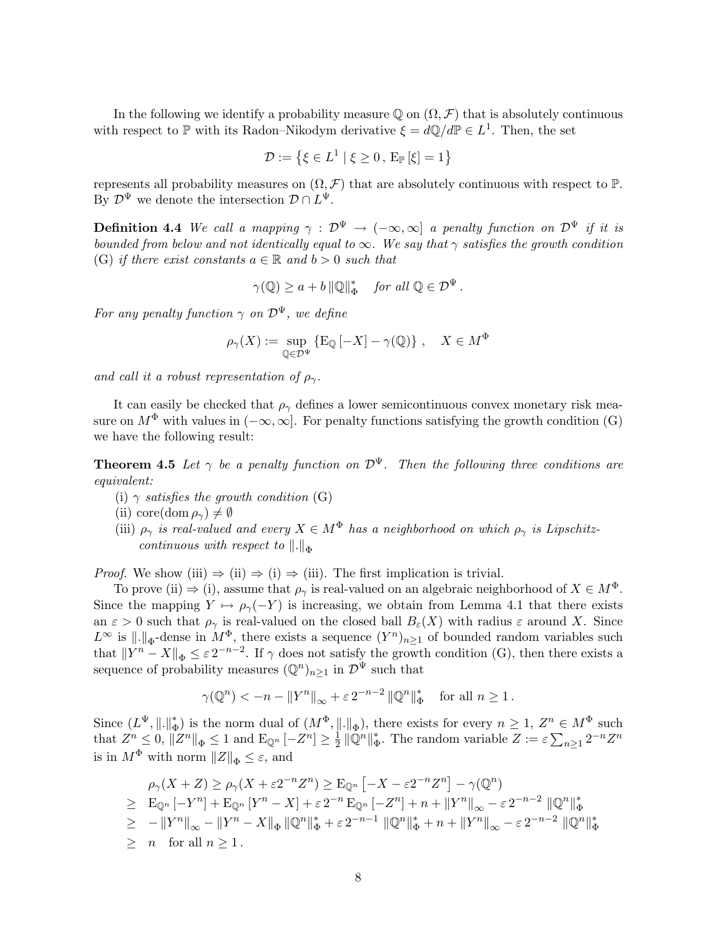In the following we identify a probability measure  $\mathbb Q$  on  $(\Omega, \mathcal F)$  that is absolutely continuous with respect to  $\mathbb P$  with its Radon–Nikodym derivative  $\xi = d\mathbb Q/d\mathbb P \in L^1$ . Then, the set

$$
\mathcal{D} := \left\{ \xi \in L^1 \mid \xi \ge 0, E_{\mathbb{P}}[\xi] = 1 \right\}
$$

represents all probability measures on  $(\Omega, \mathcal{F})$  that are absolutely continuous with respect to  $\mathbb{P}$ . By  $\mathcal{D}^{\Psi}$  we denote the intersection  $\mathcal{D} \cap L^{\Psi}$ .

**Definition 4.4** We call a mapping  $\gamma : \mathcal{D}^{\Psi} \to (-\infty, \infty]$  a penalty function on  $\mathcal{D}^{\Psi}$  if it is bounded from below and not identically equal to  $\infty$ . We say that  $\gamma$  satisfies the growth condition (G) if there exist constants  $a \in \mathbb{R}$  and  $b > 0$  such that

$$
\gamma(\mathbb{Q}) \ge a + b \|\mathbb{Q}\|_{\Phi}^* \quad \text{for all } \mathbb{Q} \in \mathcal{D}^{\Psi}.
$$

For any penalty function  $\gamma$  on  $\mathcal{D}^{\Psi}$ , we define

$$
\rho_{\gamma}(X) := \sup_{\mathbb{Q} \in \mathcal{D}^{\Psi}} \{ \mathcal{E}_{\mathbb{Q}} \left[ -X \right] - \gamma(\mathbb{Q}) \}, \quad X \in M^{\Phi}
$$

and call it a robust representation of  $\rho_{\gamma}$ .

It can easily be checked that  $\rho_{\gamma}$  defines a lower semicontinuous convex monetary risk measure on  $M^{\Phi}$  with values in  $(-\infty, \infty]$ . For penalty functions satisfying the growth condition (G) we have the following result:

**Theorem 4.5** Let  $\gamma$  be a penalty function on  $\mathcal{D}^{\Psi}$ . Then the following three conditions are equivalent:

- (i)  $\gamma$  satisfies the growth condition (G)
- (ii) core(dom  $\rho_{\gamma}$ )  $\neq \emptyset$
- (iii)  $\rho_{\gamma}$  is real-valued and every  $X \in M^{\Phi}$  has a neighborhood on which  $\rho_{\gamma}$  is Lipschitzcontinuous with respect to  $\Vert . \Vert_{\Phi}$

*Proof.* We show (iii)  $\Rightarrow$  (ii)  $\Rightarrow$  (i)  $\Rightarrow$  (iii). The first implication is trivial.

To prove (ii)  $\Rightarrow$  (i), assume that  $\rho_{\gamma}$  is real-valued on an algebraic neighborhood of  $X \in M^{\Phi}$ . Since the mapping  $Y \mapsto \rho_{\gamma}(-Y)$  is increasing, we obtain from Lemma 4.1 that there exists an  $\varepsilon > 0$  such that  $\rho_{\gamma}$  is real-valued on the closed ball  $B_{\varepsilon}(X)$  with radius  $\varepsilon$  around X. Since  $L^{\infty}$  is  $\|\cdot\|_{\Phi}$ -dense in  $M^{\Phi}$ , there exists a sequence  $(Y^{n})_{n\geq 1}$  of bounded random variables such that  $||Y^n - X||_{\Phi} \le \varepsilon 2^{-n-2}$ . If  $\gamma$  does not satisfy the growth condition (G), then there exists a sequence of probability measures  $(\mathbb{Q}^n)_{n\geq 1}$  in  $\mathcal{D}^{\Psi}$  such that

$$
\gamma(\mathbb{Q}^n)<-n-\|Y^n\|_\infty+\varepsilon\,2^{-n-2}\,\|\mathbb{Q}^n\|_\Phi^*\quad\text{for all }n\geq 1\,.
$$

Since  $(L^{\Psi}, \|\cdot\|_{\bar{d}}^*)$ \*) is the norm dual of  $(M^{\Phi}, \|.\|_{\Phi})$ , there exists for every  $n \geq 1$ ,  $Z^n \in M^{\Phi}$  such that  $Z^n \leq 0$ ,  $||Z^n||_{\Phi} \leq 1$  and  $\mathbb{E}_{\mathbb{Q}^n} [-Z^n] \geq \frac{1}{2}$  $\frac{1}{2}$   $\|\mathbb{Q}^n\|_{4}^*$  $_{\Phi}^*$ . The random variable  $Z := \varepsilon \sum_{n \geq 1} 2^{-n} Z^n$ is in  $M^{\Phi}$  with norm  $||Z||_{\Phi} \leq \varepsilon$ , and

$$
\rho_{\gamma}(X+Z) \geq \rho_{\gamma}(X+\varepsilon 2^{-n}Z^{n}) \geq \mathbb{E}_{\mathbb{Q}^{n}}\left[-X-\varepsilon 2^{-n}Z^{n}\right] - \gamma(\mathbb{Q}^{n})
$$
  
\n
$$
\geq \mathbb{E}_{\mathbb{Q}^{n}}\left[-Y^{n}\right] + \mathbb{E}_{\mathbb{Q}^{n}}\left[Y^{n}-X\right] + \varepsilon 2^{-n}\mathbb{E}_{\mathbb{Q}^{n}}\left[-Z^{n}\right] + n + \|Y^{n}\|_{\infty} - \varepsilon 2^{-n-2} \|\mathbb{Q}^{n}\|_{\Phi}^{*}
$$
  
\n
$$
\geq -\|Y^{n}\|_{\infty} - \|Y^{n}-X\|_{\Phi}\|\mathbb{Q}^{n}\|_{\Phi}^{*} + \varepsilon 2^{-n-1} \|\mathbb{Q}^{n}\|_{\Phi}^{*} + n + \|Y^{n}\|_{\infty} - \varepsilon 2^{-n-2} \|\mathbb{Q}^{n}\|_{\Phi}^{*}
$$
  
\n
$$
\geq n \quad \text{for all } n \geq 1.
$$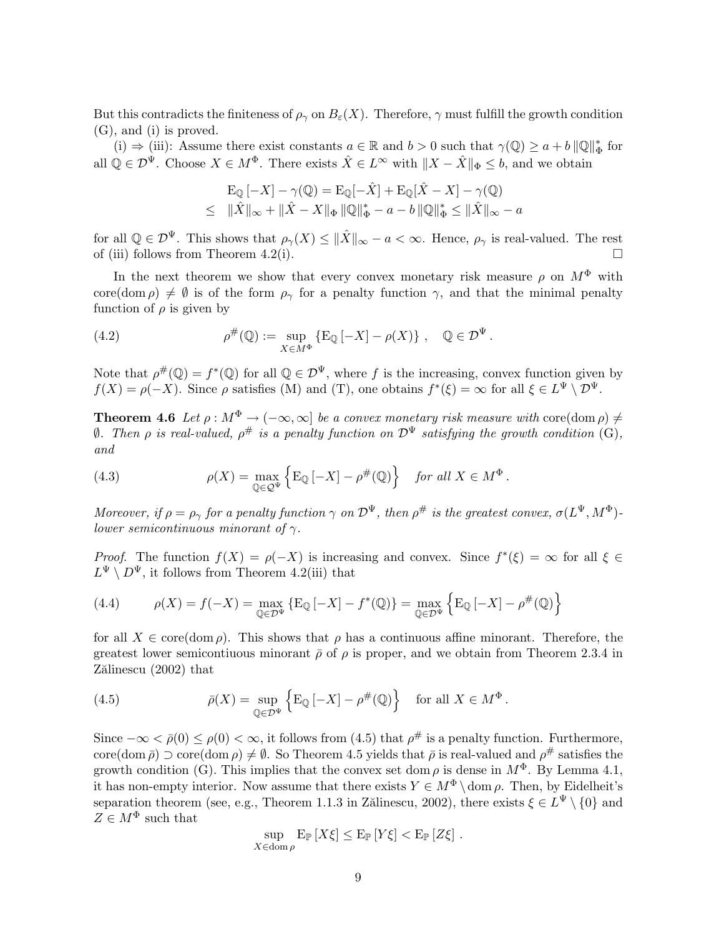But this contradicts the finiteness of  $\rho_{\gamma}$  on  $B_{\varepsilon}(X)$ . Therefore,  $\gamma$  must fulfill the growth condition (G), and (i) is proved.

(i)  $\Rightarrow$  (iii): Assume there exist constants  $a \in \mathbb{R}$  and  $b > 0$  such that  $\gamma(\mathbb{Q}) \geq a + b \|\mathbb{Q}\|_{\mathfrak{q}}^*$  $_{\Phi}^*$  for all  $\mathbb{Q} \in \mathcal{D}^{\Psi}$ . Choose  $X \in M^{\Phi}$ . There exists  $\hat{X} \in L^{\infty}$  with  $||X - \hat{X}||_{\Phi} \leq b$ , and we obtain

$$
\mathcal{E}_{\mathbb{Q}}[-X] - \gamma(\mathbb{Q}) = \mathcal{E}_{\mathbb{Q}}[-\hat{X}] + \mathcal{E}_{\mathbb{Q}}[\hat{X} - X] - \gamma(\mathbb{Q})
$$
  
 
$$
\leq \|\hat{X}\|_{\infty} + \|\hat{X} - X\|_{\Phi} \|\mathbb{Q}\|_{\Phi}^{*} - a - b \|\mathbb{Q}\|_{\Phi}^{*} \leq \|\hat{X}\|_{\infty} - a
$$

for all  $\mathbb{Q} \in \mathcal{D}^{\Psi}$ . This shows that  $\rho_{\gamma}(X) \leq \|\hat{X}\|_{\infty} - a < \infty$ . Hence,  $\rho_{\gamma}$  is real-valued. The rest of (iii) follows from Theorem 4.2(i).  $\Box$ 

In the next theorem we show that every convex monetary risk measure  $\rho$  on  $M^{\Phi}$  with core(dom  $\rho$ )  $\neq$   $\emptyset$  is of the form  $\rho_{\gamma}$  for a penalty function  $\gamma$ , and that the minimal penalty function of  $\rho$  is given by

(4.2) 
$$
\rho^{\#}(\mathbb{Q}) := \sup_{X \in M^{\Phi}} \{ \mathcal{E}_{\mathbb{Q}} \left[ -X \right] - \rho(X) \}, \quad \mathbb{Q} \in \mathcal{D}^{\Psi}.
$$

Note that  $\rho^{\#}(\mathbb{Q}) = f^*(\mathbb{Q})$  for all  $\mathbb{Q} \in \mathcal{D}^{\Psi}$ , where f is the increasing, convex function given by  $f(X) = \rho(-X)$ . Since  $\rho$  satisfies (M) and (T), one obtains  $f^*(\xi) = \infty$  for all  $\xi \in L^{\Psi} \setminus \mathcal{D}^{\Psi}$ .

**Theorem 4.6** Let  $\rho : M^{\Phi} \to (-\infty, \infty]$  be a convex monetary risk measure with core(dom  $\rho$ )  $\neq$  $\emptyset$ . Then  $\rho$  is real-valued,  $\rho^{\#}$  is a penalty function on  $\mathcal{D}^{\Psi}$  satisfying the growth condition (G), and

(4.3) 
$$
\rho(X) = \max_{\mathbb{Q} \in \mathcal{Q}^{\Psi}} \left\{ \mathbb{E}_{\mathbb{Q}} \left[ -X \right] - \rho^{\#}(\mathbb{Q}) \right\} \text{ for all } X \in M^{\Phi}.
$$

Moreover, if  $\rho = \rho_\gamma$  for a penalty function  $\gamma$  on  $\mathcal{D}^{\Psi}$ , then  $\rho^{\#}$  is the greatest convex,  $\sigma(L^{\Psi}, M^{\Phi})$ *lower semicontinuous minorant of*  $\gamma$ .

*Proof.* The function  $f(X) = \rho(-X)$  is increasing and convex. Since  $f^*(\xi) = \infty$  for all  $\xi \in$  $L^{\Psi} \setminus D^{\Psi}$ , it follows from Theorem 4.2(iii) that

(4.4) 
$$
\rho(X) = f(-X) = \max_{\mathbb{Q} \in \mathcal{D}^{\Psi}} \{ E_{\mathbb{Q}} [-X] - f^*(\mathbb{Q}) \} = \max_{\mathbb{Q} \in \mathcal{D}^{\Psi}} \{ E_{\mathbb{Q}} [-X] - \rho^{\#}(\mathbb{Q}) \}
$$

for all  $X \in \text{core}(\text{dom }\rho)$ . This shows that  $\rho$  has a continuous affine minorant. Therefore, the greatest lower semicontiuous minorant  $\bar{\rho}$  of  $\rho$  is proper, and we obtain from Theorem 2.3.4 in Zălinescu (2002) that

(4.5) 
$$
\bar{\rho}(X) = \sup_{\mathbb{Q} \in \mathcal{D}^{\Psi}} \left\{ \mathrm{E}_{\mathbb{Q}} \left[ -X \right] - \rho^{\#}(\mathbb{Q}) \right\} \text{ for all } X \in M^{\Phi}.
$$

Since  $-\infty < \bar{\rho}(0) \leq \rho(0) < \infty$ , it follows from (4.5) that  $\rho^{\#}$  is a penalty function. Furthermore, core(dom  $\bar{\rho}$ )  $\supset$  core(dom  $\rho$ )  $\neq \emptyset$ . So Theorem 4.5 yields that  $\bar{\rho}$  is real-valued and  $\rho^{\#}$  satisfies the growth condition (G). This implies that the convex set dom  $\rho$  is dense in  $M^{\Phi}$ . By Lemma 4.1, it has non-empty interior. Now assume that there exists  $Y \in M^{\Phi} \setminus \text{dom } \rho$ . Then, by Eidelheit's separation theorem (see, e.g., Theorem 1.1.3 in Zălinescu, 2002), there exists  $\xi \in L^{\Psi} \setminus \{0\}$  and  $Z\in M^{\Phi}$  such that

$$
\sup_{X \in \text{dom}\,\rho} \mathbb{E}_{\mathbb{P}}\left[X\xi\right] \leq \mathbb{E}_{\mathbb{P}}\left[Y\xi\right] < \mathbb{E}_{\mathbb{P}}\left[Z\xi\right].
$$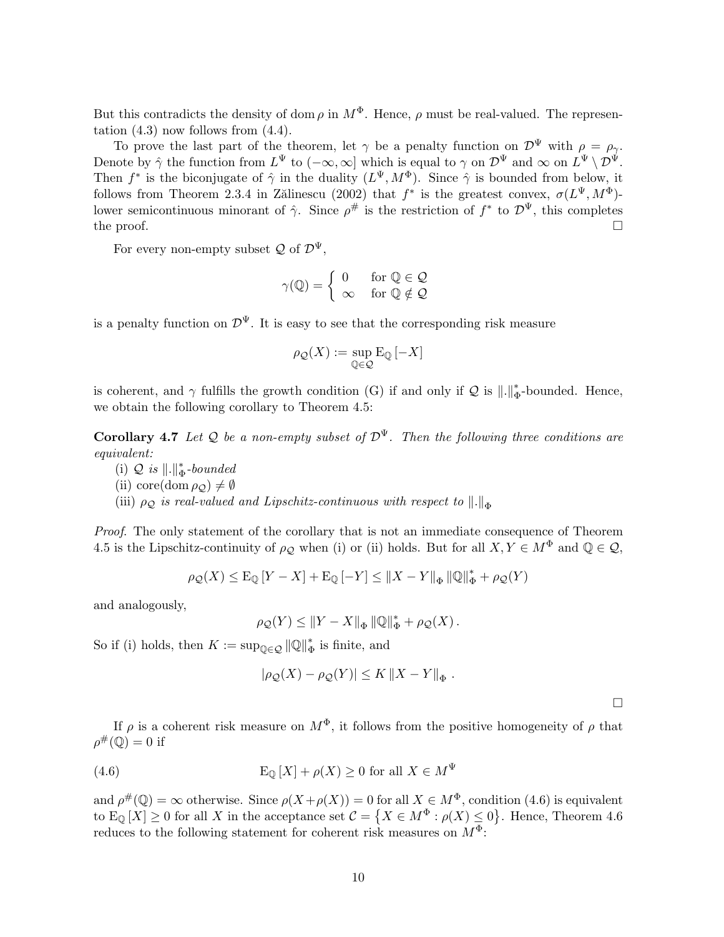But this contradicts the density of dom  $\rho$  in  $M^{\Phi}$ . Hence,  $\rho$  must be real-valued. The representation  $(4.3)$  now follows from  $(4.4)$ .

To prove the last part of the theorem, let  $\gamma$  be a penalty function on  $\mathcal{D}^{\Psi}$  with  $\rho = \rho_{\gamma}$ . Denote by  $\hat{\gamma}$  the function from  $L^{\Psi}$  to  $(-\infty,\infty]$  which is equal to  $\gamma$  on  $\mathcal{D}^{\Psi}$  and  $\infty$  on  $L^{\Psi} \setminus \mathcal{D}^{\Psi}$ . Then  $f^*$  is the biconjugate of  $\hat{\gamma}$  in the duality  $(L^{\Psi}, M^{\Phi})$ . Since  $\hat{\gamma}$  is bounded from below, it follows from Theorem 2.3.4 in Zălinescu (2002) that  $f^*$  is the greatest convex,  $\sigma(L^{\Psi}, M^{\Phi})$ lower semicontinuous minorant of  $\hat{\gamma}$ . Since  $\rho^{\#}$  is the restriction of  $f^*$  to  $\mathcal{D}^{\Psi}$ , this completes the proof.  $\Box$ 

For every non-empty subset  $\mathcal{Q}$  of  $\mathcal{D}^{\Psi}$ ,

$$
\gamma(\mathbb{Q}) = \begin{cases} 0 & \text{for } \mathbb{Q} \in \mathcal{Q} \\ \infty & \text{for } \mathbb{Q} \notin \mathcal{Q} \end{cases}
$$

is a penalty function on  $\mathcal{D}^{\Psi}$ . It is easy to see that the corresponding risk measure

$$
\rho_{\mathcal{Q}}(X):=\sup_{\mathbb{Q}\in\mathcal{Q}}\mathrm{E}_{\mathbb{Q}}\left[-X\right]
$$

is coherent, and  $\gamma$  fulfills the growth condition (G) if and only if Q is  $\|\cdot\|_{\mathfrak{a}}^*$  $_{\Phi}^*$ -bounded. Hence, we obtain the following corollary to Theorem 4.5:

**Corollary 4.7** Let Q be a non-empty subset of  $\mathcal{D}^{\Psi}$ . Then the following three conditions are equivalent:

- (i)  $Q$  is  $\|.\|_{d}^{*}$  $_{\Phi}^*$ -bounded
- (ii) core(dom  $\rho_{\mathcal{Q}}) \neq \emptyset$

(iii)  $\rho_{\mathcal{Q}}$  is real-valued and Lipschitz-continuous with respect to  $\Vert . \Vert_{\Phi}$ 

Proof. The only statement of the corollary that is not an immediate consequence of Theorem 4.5 is the Lipschitz-continuity of  $\rho_Q$  when (i) or (ii) holds. But for all  $X, Y \in M^{\Phi}$  and  $\mathbb{Q} \in \mathcal{Q}$ ,

$$
\rho_{\mathcal{Q}}(X) \leq \mathcal{E}_{\mathbb{Q}}\left[Y - X\right] + \mathcal{E}_{\mathbb{Q}}\left[-Y\right] \leq \|X - Y\|_{\Phi} \left\|\mathbb{Q}\right\|_{\Phi}^{*} + \rho_{\mathcal{Q}}(Y)
$$

and analogously,

$$
\rho_{\mathcal{Q}}(Y) \leq \|Y - X\|_{\Phi} \|\mathbb{Q}\|_{\Phi}^* + \rho_{\mathcal{Q}}(X).
$$

So if (i) holds, then  $K := \sup_{\mathbb{Q} \in \mathcal{Q}} ||\mathbb{Q}||_4^*$  $_{\Phi}^{*}$  is finite, and

$$
|\rho_{\mathcal{Q}}(X) - \rho_{\mathcal{Q}}(Y)| \leq K \|X - Y\|_{\Phi}.
$$

¤

If  $\rho$  is a coherent risk measure on  $M^{\Phi}$ , it follows from the positive homogeneity of  $\rho$  that  $\rho^{\#}(\mathbb{Q})=0$  if

(4.6) 
$$
E_{\mathbb{Q}}[X] + \rho(X) \ge 0 \text{ for all } X \in M^{\Psi}
$$

and  $\rho^{\#}(\mathbb{Q}) = \infty$  otherwise. Since  $\rho(X + \rho(X)) = 0$  for all  $X \in M^{\Phi}$ , condition (4.6) is equivalent to  $\mathbb{E}_{\mathbb{Q}}[X] \geq 0$  for all X in the acceptance set  $\mathcal{C} = \{X \in M^{\Phi} : \rho(X) \leq 0\}$ . Hence, Theorem 4.6 reduces to the following statement for coherent risk measures on  $M^{\Phi}$ :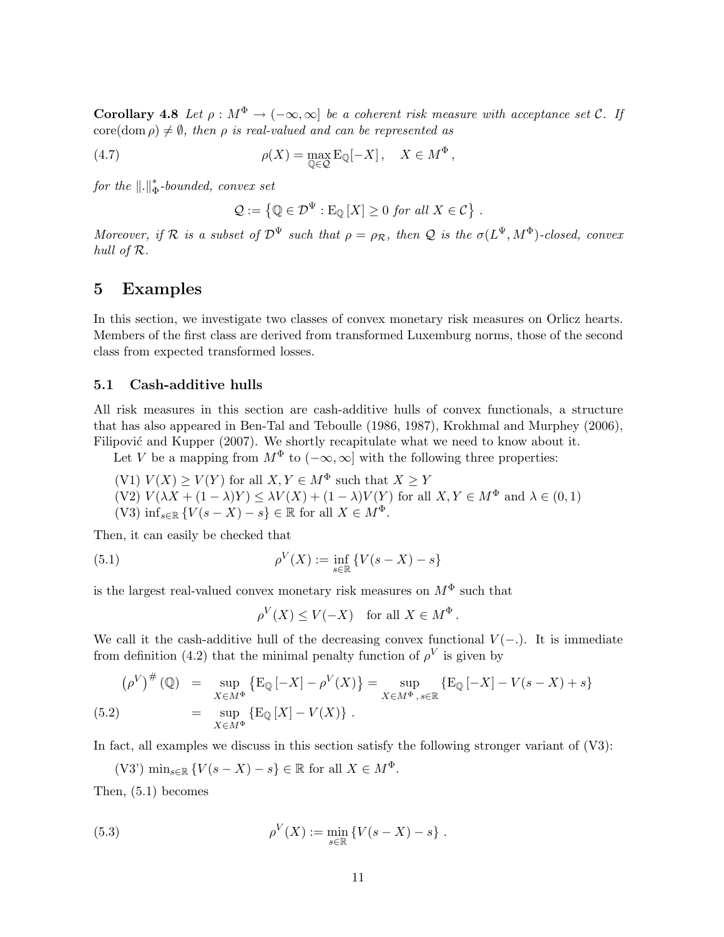**Corollary 4.8** Let  $\rho : M^{\Phi} \to (-\infty, \infty]$  be a coherent risk measure with acceptance set C. If  $\text{core}(\text{dom }\rho) \neq \emptyset$ , then  $\rho$  is real-valued and can be represented as

(4.7) 
$$
\rho(X) = \max_{\mathbb{Q} \in \mathcal{Q}} \mathbb{E}_{\mathbb{Q}}[-X], \quad X \in M^{\Phi},
$$

for the  $\Vert . \Vert_{\bar{d}}^*$  $_{\Phi}^*$ -bounded, convex set

$$
\mathcal{Q} := \left\{ \mathbb{Q} \in \mathcal{D}^{\Psi} : \mathrm{E}_{\mathbb{Q}} \left[ X \right] \geq 0 \text{ for all } X \in \mathcal{C} \right\}.
$$

Moreover, if R is a subset of  $\mathcal{D}^{\Psi}$  such that  $\rho = \rho_{\mathcal{R}}$ , then Q is the  $\sigma(L^{\Psi}, M^{\Phi})$ -closed, convex hull of R.

## 5 Examples

In this section, we investigate two classes of convex monetary risk measures on Orlicz hearts. Members of the first class are derived from transformed Luxemburg norms, those of the second class from expected transformed losses.

### 5.1 Cash-additive hulls

All risk measures in this section are cash-additive hulls of convex functionals, a structure that has also appeared in Ben-Tal and Teboulle (1986, 1987), Krokhmal and Murphey (2006), Filipović and Kupper (2007). We shortly recapitulate what we need to know about it.

Let V be a mapping from  $M^{\Phi}$  to  $(-\infty, \infty]$  with the following three properties:

(V1)  $V(X) \ge V(Y)$  for all  $X, Y \in M^{\Phi}$  such that  $X \ge Y$  $(V2)V(\lambda X + (1 - \lambda)Y) \leq \lambda V(X) + (1 - \lambda)V(Y)$  for all  $X, Y \in M^{\Phi}$  and  $\lambda \in (0, 1)$ (V3)  $\inf_{s\in\mathbb{R}}\{V(s-X)-s\}\in\mathbb{R}$  for all  $X\in M^{\Phi}$ .

Then, it can easily be checked that

(5.1) 
$$
\rho^V(X) := \inf_{s \in \mathbb{R}} \{ V(s - X) - s \}
$$

is the largest real-valued convex monetary risk measures on  $M^{\Phi}$  such that

 $\rho^V(X) \leq V(-X)$  for all  $X \in M^{\Phi}$ .

We call it the cash-additive hull of the decreasing convex functional  $V(-)$ . It is immediate from definition (4.2) that the minimal penalty function of  $\rho^V$  is given by

$$
(\rho^V)^{\#}(\mathbb{Q}) = \sup_{X \in M^{\Phi}} \{ \mathbb{E}_{\mathbb{Q}} \left[ -X \right] - \rho^V(X) \} = \sup_{X \in M^{\Phi}, s \in \mathbb{R}} \{ \mathbb{E}_{\mathbb{Q}} \left[ -X \right] - V(s - X) + s \}
$$
  
(5.2) =  $\sup_{X \in M^{\Phi}} \{ \mathbb{E}_{\mathbb{Q}} \left[ X \right] - V(X) \}.$ 

In fact, all examples we discuss in this section satisfy the following stronger variant of  $(V3)$ :

(V3') min<sub>s∈R</sub> { $V(s - X) - s$ } ∈ R for all  $X \in M^{\Phi}$ .

Then, (5.1) becomes

(5.3) 
$$
\rho^V(X) := \min_{s \in \mathbb{R}} \{ V(s - X) - s \} .
$$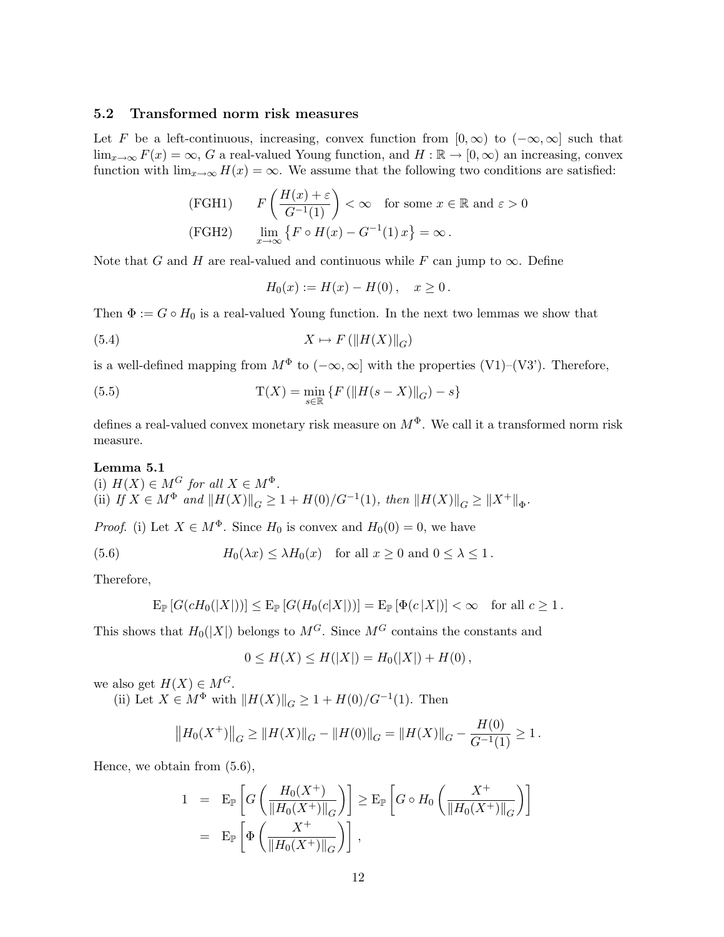### 5.2 Transformed norm risk measures

Let F be a left-continuous, increasing, convex function from  $[0, \infty)$  to  $(-\infty, \infty]$  such that  $\lim_{x\to\infty} F(x) = \infty$ , G a real-valued Young function, and  $H : \mathbb{R} \to [0, \infty)$  an increasing, convex function with  $\lim_{x\to\infty} H(x) = \infty$ . We assume that the following two conditions are satisfied:

(FGH1) 
$$
F\left(\frac{H(x) + \varepsilon}{G^{-1}(1)}\right) < \infty
$$
 for some  $x \in \mathbb{R}$  and  $\varepsilon > 0$   
(FGH2)  $\lim_{x \to \infty} \{ F \circ H(x) - G^{-1}(1) x \} = \infty$ .

Note that G and H are real-valued and continuous while F can jump to  $\infty$ . Define

$$
H_0(x) := H(x) - H(0), \quad x \ge 0.
$$

Then  $\Phi := G \circ H_0$  is a real-valued Young function. In the next two lemmas we show that

(5.4) 
$$
X \mapsto F\left(\|H(X)\|_G\right)
$$

is a well-defined mapping from  $M^{\Phi}$  to  $(-\infty, \infty]$  with the properties  $(V1)-(V3')$ . Therefore,

(5.5) 
$$
T(X) = \min_{s \in \mathbb{R}} \{ F (||H(s - X)||_{G}) - s \}
$$

defines a real-valued convex monetary risk measure on  $M^{\Phi}$ . We call it a transformed norm risk measure.

### Lemma 5.1

(i)  $H(X) \in M^G$  for all  $X \in M^{\Phi}$ . (ii) If  $X \in M^{\Phi}$  and  $||H(X)||_G \geq 1 + H(0)/G^{-1}(1)$ , then  $||H(X)||_G \geq ||X^+||_{\Phi}$ .

*Proof.* (i) Let  $X \in M^{\Phi}$ . Since  $H_0$  is convex and  $H_0(0) = 0$ , we have

(5.6) 
$$
H_0(\lambda x) \leq \lambda H_0(x) \text{ for all } x \geq 0 \text{ and } 0 \leq \lambda \leq 1.
$$

Therefore,

$$
\mathrm{E}_{\mathbb{P}}\left[G(cH_0(|X|))\right] \leq \mathrm{E}_{\mathbb{P}}\left[G(H_0(c|X|))\right] = \mathrm{E}_{\mathbb{P}}\left[\Phi(c|X|)\right] < \infty \quad \text{for all } c \geq 1.
$$

This shows that  $H_0(|X|)$  belongs to  $M^G$ . Since  $M^G$  contains the constants and

$$
0 \le H(X) \le H(|X|) = H_0(|X|) + H(0),
$$

we also get  $H(X) \in M^G$ .

(ii) Let  $X \in M^{\Phi}$  with  $||H(X)||_G \geq 1 + H(0)/G^{-1}(1)$ . Then

$$
||H_0(X^+)||_G \ge ||H(X)||_G - ||H(0)||_G = ||H(X)||_G - \frac{H(0)}{G^{-1}(1)} \ge 1.
$$

Hence, we obtain from (5.6),

$$
1 = \mathbb{E}_{\mathbb{P}}\left[G\left(\frac{H_0(X^+)}{\|H_0(X^+)\|_G}\right)\right] \ge \mathbb{E}_{\mathbb{P}}\left[G \circ H_0\left(\frac{X^+}{\|H_0(X^+)\|_G}\right)\right]
$$
  
=  $\mathbb{E}_{\mathbb{P}}\left[\Phi\left(\frac{X^+}{\|H_0(X^+)\|_G}\right)\right],$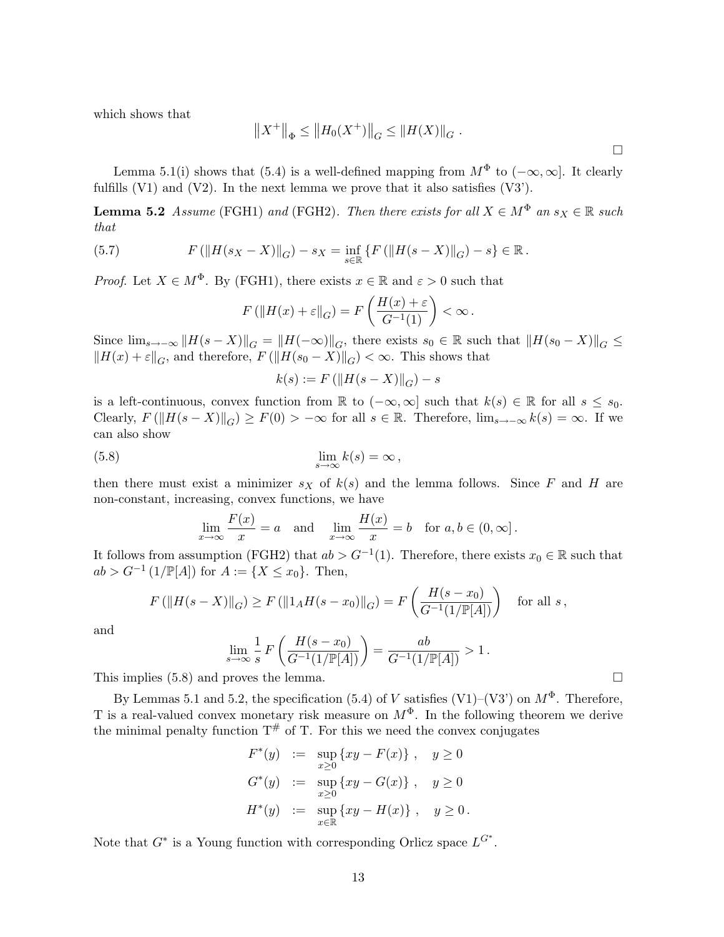which shows that

$$
||X^+||_{\Phi} \le ||H_0(X^+)||_G \le ||H(X)||_G.
$$

Lemma 5.1(i) shows that (5.4) is a well-defined mapping from  $M^{\Phi}$  to  $(-\infty, \infty]$ . It clearly fulfills  $(V1)$  and  $(V2)$ . In the next lemma we prove that it also satisfies  $(V3')$ .

**Lemma 5.2** Assume (FGH1) and (FGH2). Then there exists for all  $X \in M^{\Phi}$  an  $s_X \in \mathbb{R}$  such that

(5.7) 
$$
F(||H(s_X - X)||_G) - s_X = \inf_{s \in \mathbb{R}} \{ F(||H(s - X)||_G) - s \} \in \mathbb{R}.
$$

*Proof.* Let  $X \in M^{\Phi}$ . By (FGH1), there exists  $x \in \mathbb{R}$  and  $\varepsilon > 0$  such that

$$
F\left(\|H(x)+\varepsilon\|_G\right) = F\left(\frac{H(x)+\varepsilon}{G^{-1}(1)}\right) < \infty.
$$

Since  $\lim_{s\to-\infty}$   $||H(s-X)||_G = ||H(-\infty)||_G$ , there exists  $s_0 \in \mathbb{R}$  such that  $||H(s_0 - X)||_G \le$  $||H(x) + \varepsilon||_G$ , and therefore,  $F(||H(s_0 - X)||_G) < \infty$ . This shows that

$$
k(s) := F(||H(s - X)||_G) - s
$$

is a left-continuous, convex function from  $\mathbb R$  to  $(-\infty,\infty]$  such that  $k(s) \in \mathbb R$  for all  $s \leq s_0$ . Clearly,  $F(||H(s - X)||_G) \geq F(0) > -\infty$  for all  $s \in \mathbb{R}$ . Therefore,  $\lim_{s\to -\infty} k(s) = \infty$ . If we can also show

$$
\lim_{s \to \infty} k(s) = \infty,
$$

then there must exist a minimizer  $s_X$  of  $k(s)$  and the lemma follows. Since F and H are non-constant, increasing, convex functions, we have

$$
\lim_{x \to \infty} \frac{F(x)}{x} = a \quad \text{and} \quad \lim_{x \to \infty} \frac{H(x)}{x} = b \quad \text{for } a, b \in (0, \infty].
$$

It follows from assumption (FGH2) that  $ab > G^{-1}(1)$ . Therefore, there exists  $x_0 \in \mathbb{R}$  such that  $ab > G^{-1} (1/\mathbb{P}[A])$  for  $A := \{X \le x_0\}$ . Then,  $\overline{a}$ 

$$
F(||H(s - X)||_G) \ge F(||1_AH(s - x_0)||_G) = F\left(\frac{H(s - x_0)}{G^{-1}(1/\mathbb{P}[A])}\right) \text{ for all } s,
$$

and

$$
\lim_{s \to \infty} \frac{1}{s} F\left(\frac{H(s - x_0)}{G^{-1}(1/\mathbb{P}[A])}\right) = \frac{ab}{G^{-1}(1/\mathbb{P}[A])} > 1.
$$

This implies  $(5.8)$  and proves the lemma.  $\Box$ 

By Lemmas 5.1 and 5.2, the specification (5.4) of V satisfies (V1)–(V3') on  $M^{\Phi}$ . Therefore, T is a real-valued convex monetary risk measure on  $M^{\Phi}$ . In the following theorem we derive the minimal penalty function  $T^{\#}$  of T. For this we need the convex conjugates

$$
F^*(y) := \sup_{x \ge 0} \{ xy - F(x) \}, \quad y \ge 0
$$
  

$$
G^*(y) := \sup_{x \ge 0} \{ xy - G(x) \}, \quad y \ge 0
$$
  

$$
H^*(y) := \sup_{x \in \mathbb{R}} \{ xy - H(x) \}, \quad y \ge 0.
$$

Note that  $G^*$  is a Young function with corresponding Orlicz space  $L^{G^*}$ .

¤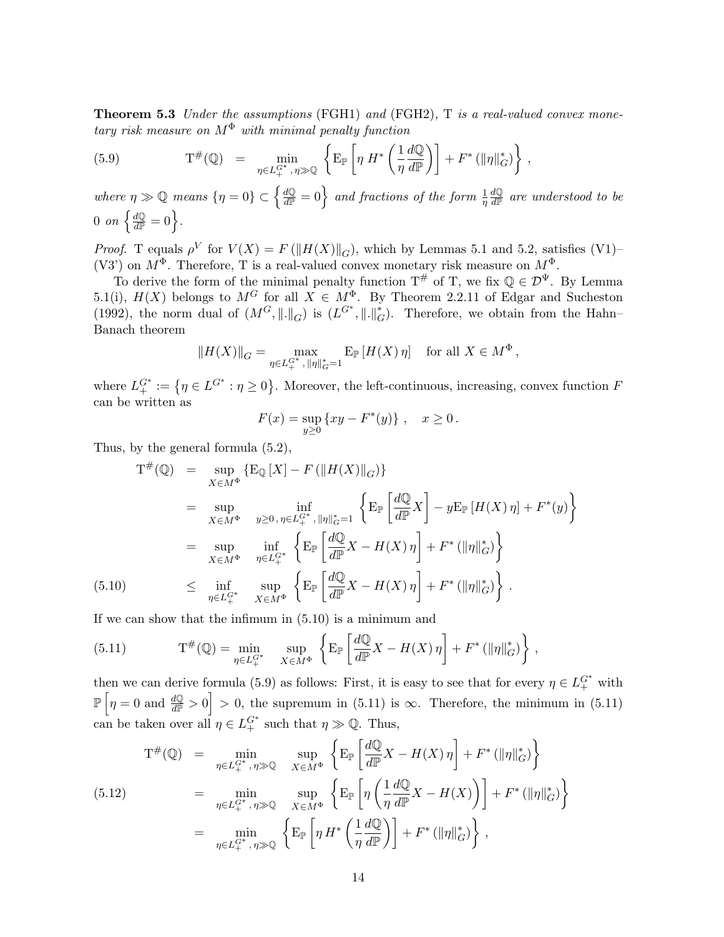**Theorem 5.3** Under the assumptions (FGH1) and (FGH2),  $T$  is a real-valued convex monetary risk measure on  $M^{\Phi}$  with minimal penalty function

(5.9) 
$$
\mathcal{T}^{\#}(\mathbb{Q}) = \min_{\eta \in L_{+}^{G^*}, \eta \gg \mathbb{Q}} \left\{ \mathcal{E}_{\mathbb{P}} \left[ \eta \ H^* \left( \frac{1}{\eta} \frac{d\mathbb{Q}}{d\mathbb{P}} \right) \right] + F^* \left( \|\eta\|_{G}^* \right) \right\},
$$

where  $\eta \gg \mathbb{Q}$  means  $\{\eta = 0\} \subset \left\{\frac{d\mathbb{Q}}{d\mathbb{P}^2}\right\}$  $\frac{dQ}{dP} = 0$  and fractions of the form  $\frac{1}{\eta}$  $d\mathbb{Q}$  $\frac{d\mathbb{Q}}{d\mathbb{P}}$  are understood to be  $\frac{dQ}{dP}$  $\frac{dQ}{dP} = 0.$ 

*Proof.* T equals  $\rho^V$  for  $V(X) = F(||H(X)||_G)$ , which by Lemmas 5.1 and 5.2, satisfies (V1)– (V3') on  $M^{\Phi}$ . Therefore, T is a real-valued convex monetary risk measure on  $M^{\Phi}$ .

To derive the form of the minimal penalty function  $T^{\#}$  of T, we fix  $\mathbb{Q} \in \mathcal{D}^{\Psi}$ . By Lemma 5.1(i),  $H(X)$  belongs to  $M^G$  for all  $X \in M^{\Phi}$ . By Theorem 2.2.11 of Edgar and Sucheston (1992), the norm dual of  $(M^G, \|\. \|_G)$  is  $(L^{G^*}, \|\. \|_G^*)$ . Therefore, we obtain from the Hahn– Banach theorem

$$
||H(X)||_G = \max_{\eta \in L_+^{G^*}, ||\eta||_G^* = 1} \mathbf{E}_{\mathbb{P}} \left[ H(X) \, \eta \right] \quad \text{for all } X \in M^{\Phi} \,,
$$

where  $L_+^{G^*} := \{ \eta \in L^{G^*} : \eta \ge 0 \}$ ª . Moreover, the left-continuous, increasing, convex function F can be written as

$$
F(x) = \sup_{y \ge 0} \{ xy - F^*(y) \}, \quad x \ge 0.
$$

Thus, by the general formula (5.2),

$$
T^{\#}(\mathbb{Q}) = \sup_{X \in M^{\Phi}} \{ \mathbb{E}_{\mathbb{Q}}[X] - F\left( \|H(X)\|_{G} \right) \}
$$
  
\n
$$
= \sup_{X \in M^{\Phi}} \inf_{y \ge 0, \eta \in L_{+}^{G*}, \| \eta \|_{G}^{*} = 1} \left\{ \mathbb{E}_{\mathbb{P}} \left[ \frac{d\mathbb{Q}}{d\mathbb{P}} X \right] - y \mathbb{E}_{\mathbb{P}}[H(X) \eta] + F^{*}(y) \right\}
$$
  
\n
$$
= \sup_{X \in M^{\Phi}} \inf_{\eta \in L_{+}^{G*}} \left\{ \mathbb{E}_{\mathbb{P}} \left[ \frac{d\mathbb{Q}}{d\mathbb{P}} X - H(X) \eta \right] + F^{*}(\|\eta\|_{G}^{*}) \right\}
$$
  
\n(5.10) 
$$
\leq \inf_{\eta \in L_{+}^{G*}} \sup_{X \in M^{\Phi}} \left\{ \mathbb{E}_{\mathbb{P}} \left[ \frac{d\mathbb{Q}}{d\mathbb{P}} X - H(X) \eta \right] + F^{*}(\|\eta\|_{G}^{*}) \right\}.
$$

If we can show that the infimum in (5.10) is a minimum and

(5.11) 
$$
\mathcal{T}^{\#}(\mathbb{Q}) = \min_{\eta \in L_{+}^{G^*}} \quad \sup_{X \in M^{\Phi}} \left\{ \mathcal{E}_{\mathbb{P}} \left[ \frac{d\mathbb{Q}}{d\mathbb{P}} X - H(X) \eta \right] + F^* \left( \|\eta\|_{G}^* \right) \right\},
$$

then we can derive formula (5.9) as follows: First, it is easy to see that for every  $\eta \in L_+^{G^*}$  with  $\mathbb{P}\left|\eta=0\right\rangle$  and  $\frac{d\mathbb{Q}}{d\mathbb{P}}>0$ , the supremum in (5.11) is  $\infty$ . Therefore, the minimum in (5.11) can be taken over all  $\eta \in L_+^{G^*}$  such that  $\eta \gg \mathbb{Q}$ . Thus, ½ ·  $\overline{a}$  $\ddot{\phantom{0}}$ 

$$
T^{\#}(\mathbb{Q}) = \min_{\eta \in L_{+}^{G^{*}}, \eta \gg \mathbb{Q}} \quad \sup_{X \in M^{\Phi}} \left\{ E_{\mathbb{P}} \left[ \frac{d\mathbb{Q}}{d\mathbb{P}} X - H(X) \eta \right] + F^{*} \left( \|\eta\|_{G}^{*} \right) \right\}
$$
\n
$$
= \min_{\eta \in L_{+}^{G^{*}}, \eta \gg \mathbb{Q}} \quad \sup_{X \in M^{\Phi}} \left\{ E_{\mathbb{P}} \left[ \eta \left( \frac{1}{\eta} \frac{d\mathbb{Q}}{d\mathbb{P}} X - H(X) \right) \right] + F^{*} \left( \|\eta\|_{G}^{*} \right) \right\}
$$
\n
$$
= \min_{\eta \in L_{+}^{G^{*}}, \eta \gg \mathbb{Q}} \left\{ E_{\mathbb{P}} \left[ \eta H^{*} \left( \frac{1}{\eta} \frac{d\mathbb{Q}}{d\mathbb{P}} \right) \right] + F^{*} \left( \|\eta\|_{G}^{*} \right) \right\},
$$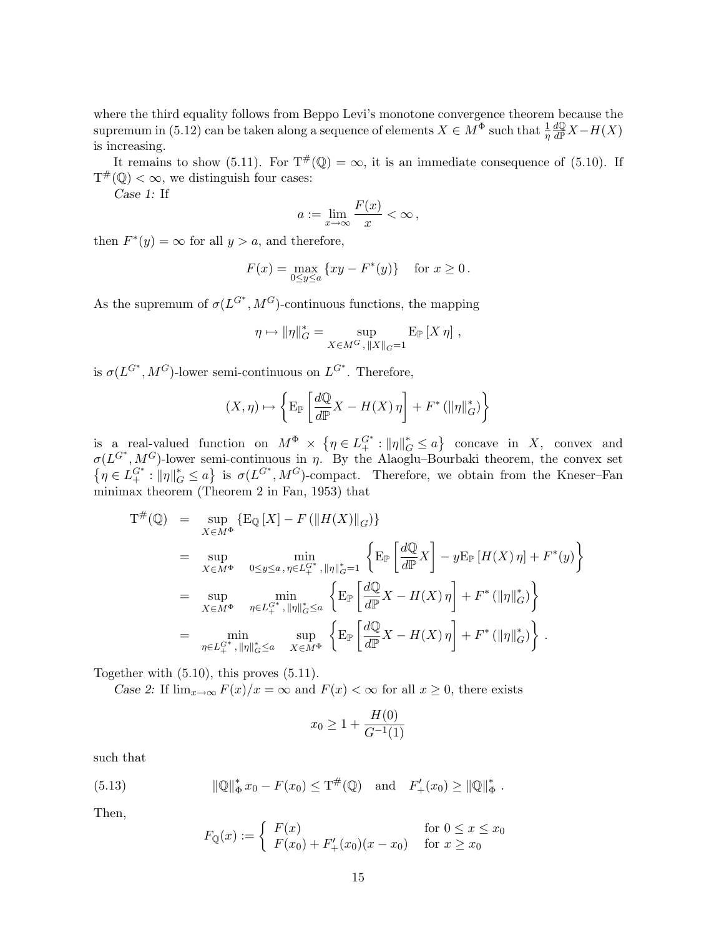where the third equality follows from Beppo Levi's monotone convergence theorem because the supremum in (5.12) can be taken along a sequence of elements  $X \in M^{\Phi}$  such that  $\frac{1}{\eta}$  $\frac{d\mathbb{Q}}{d\mathbb{P}}X-H(X)$ is increasing.

It remains to show (5.11). For  $T^{\#}(\mathbb{Q}) = \infty$ , it is an immediate consequence of (5.10). If  $T^{\#}(\mathbb{Q}) < \infty$ , we distinguish four cases:

Case 1: If

$$
a := \lim_{x \to \infty} \frac{F(x)}{x} < \infty \,,
$$

then  $F^*(y) = \infty$  for all  $y > a$ , and therefore,

$$
F(x) = \max_{0 \le y \le a} \{ xy - F^*(y) \} \text{ for } x \ge 0.
$$

As the supremum of  $\sigma(L^{G^*}, M^G)$ -continuous functions, the mapping

$$
\eta \mapsto ||\eta||_G^* = \sup_{X \in M^G, ||X||_G = 1} E_{\mathbb{P}}[X \eta],
$$

is  $\sigma(L^{G^*}, M^G)$ -lower semi-continuous on  $L^{G^*}$ . Therefore,

$$
(X, \eta) \mapsto \left\{ \mathcal{E}_{\mathbb{P}} \left[ \frac{d\mathbb{Q}}{d\mathbb{P}} X - H(X) \eta \right] + F^* \left( \|\eta\|_G^* \right) \right\}
$$

is a real-valued function on  $M^{\Phi} \times \{$  $\eta \in L_+^{G^*}: ||\eta||_G^* \leq a$ concave in  $X$ , convex and  $\sigma(L^{G^*}, M^G)$ -lower semi-continuous in  $\eta$ . By the Alaoglu–Bourbaki theorem, the convex set  $\eta \in L_+^{G^*}: \|\eta\|_G^* \leq a$ ⊔؛<br>د is  $\sigma(L^{G^*}, M^G)$ -compact. Therefore, we obtain from the Kneser–Fan minimax theorem (Theorem 2 in Fan, 1953) that

$$
T^{\#}(\mathbb{Q}) = \sup_{X \in M^{\Phi}} \{ \mathcal{E}_{\mathbb{Q}}[X] - F(\|H(X)\|_{G}) \}
$$
  
\n
$$
= \sup_{X \in M^{\Phi}} \min_{0 \le y \le a, \eta \in L_{+}^{G^{*}}, \|\eta\|_{G}^{*} = 1} \left\{ \mathcal{E}_{\mathbb{P}} \left[ \frac{d\mathbb{Q}}{d\mathbb{P}} X \right] - y \mathcal{E}_{\mathbb{P}}[H(X) \eta] + F^{*}(y) \right\}
$$
  
\n
$$
= \sup_{X \in M^{\Phi}} \min_{\eta \in L_{+}^{G^{*}}, \|\eta\|_{G}^{*} \le a} \left\{ \mathcal{E}_{\mathbb{P}} \left[ \frac{d\mathbb{Q}}{d\mathbb{P}} X - H(X) \eta \right] + F^{*}(\|\eta\|_{G}^{*}) \right\}
$$
  
\n
$$
= \min_{\eta \in L_{+}^{G^{*}}, \|\eta\|_{G}^{*} \le a} \sup_{X \in M^{\Phi}} \left\{ \mathcal{E}_{\mathbb{P}} \left[ \frac{d\mathbb{Q}}{d\mathbb{P}} X - H(X) \eta \right] + F^{*}(\|\eta\|_{G}^{*}) \right\} .
$$

Together with (5.10), this proves (5.11).

Case 2: If  $\lim_{x\to\infty} F(x)/x = \infty$  and  $F(x) < \infty$  for all  $x \geq 0$ , there exists

$$
x_0 \ge 1 + \frac{H(0)}{G^{-1}(1)}
$$

such that

(5.13) 
$$
\|\mathbb{Q}\|_{\Phi}^* x_0 - F(x_0) \leq T^{\#}(\mathbb{Q}) \text{ and } F'_+(x_0) \geq \|\mathbb{Q}\|_{\Phi}^*.
$$

Then,

$$
F_{\mathbb{Q}}(x) := \begin{cases} F(x) & \text{for } 0 \le x \le x_0 \\ F(x_0) + F'_+(x_0)(x - x_0) & \text{for } x \ge x_0 \end{cases}
$$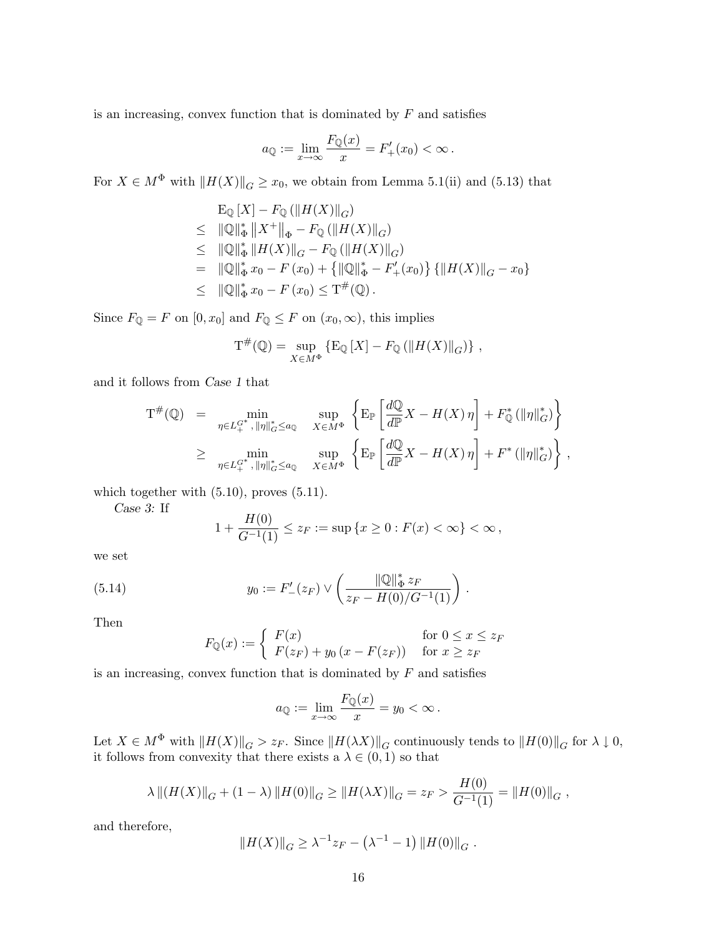is an increasing, convex function that is dominated by  $F$  and satisfies

$$
a_{\mathbb{Q}} := \lim_{x \to \infty} \frac{F_{\mathbb{Q}}(x)}{x} = F'_{+}(x_0) < \infty \, .
$$

For  $X \in M^{\Phi}$  with  $||H(X)||_G \ge x_0$ , we obtain from Lemma 5.1(ii) and (5.13) that

$$
\begin{aligned}\n\mathcal{E}_{\mathbb{Q}}[X] - F_{\mathbb{Q}} \left( \|H(X)\|_{G} \right) \\
&\leq \|\mathbb{Q}\|_{\Phi}^{*} \|X^{+}\|_{\Phi} - F_{\mathbb{Q}} \left( \|H(X)\|_{G} \right) \\
&\leq \|\mathbb{Q}\|_{\Phi}^{*} \|H(X)\|_{G} - F_{\mathbb{Q}} \left( \|H(X)\|_{G} \right) \\
&= \|\mathbb{Q}\|_{\Phi}^{*} x_{0} - F (x_{0}) + \left\{ \|\mathbb{Q}\|_{\Phi}^{*} - F'_{+}(x_{0}) \right\} \left\{ \|H(X)\|_{G} - x_{0} \right\} \\
&\leq \|\mathbb{Q}\|_{\Phi}^{*} x_{0} - F (x_{0}) \leq T^{\#}(\mathbb{Q})\n\end{aligned}
$$

Since  $F_{\mathbb{Q}} = F$  on  $[0, x_0]$  and  $F_{\mathbb{Q}} \leq F$  on  $(x_0, \infty)$ , this implies

$$
\mathrm{T}^{\#}(\mathbb{Q}) = \sup_{X \in M^{\Phi}} \left\{ \mathrm{E}_{\mathbb{Q}} \left[ X \right] - F_{\mathbb{Q}} \left( \left\| H(X) \right\|_{G} \right) \right\},\,
$$

and it follows from Case 1 that

$$
T^{\#}(\mathbb{Q}) = \min_{\eta \in L_{+}^{G^{*}}, \|\eta\|_{G}^{*} \leq a_{\mathbb{Q}}} \quad \sup_{X \in M^{\Phi}} \left\{ E_{\mathbb{P}} \left[ \frac{d\mathbb{Q}}{d\mathbb{P}} X - H(X) \eta \right] + F_{\mathbb{Q}}^{*} (\|\eta\|_{G}^{*}) \right\}
$$
  

$$
\geq \min_{\eta \in L_{+}^{G^{*}}, \|\eta\|_{G}^{*} \leq a_{\mathbb{Q}}} \quad \sup_{X \in M^{\Phi}} \left\{ E_{\mathbb{P}} \left[ \frac{d\mathbb{Q}}{d\mathbb{P}} X - H(X) \eta \right] + F^{*} (\|\eta\|_{G}^{*}) \right\},
$$

which together with  $(5.10)$ , proves  $(5.11)$ .

Case 3: If

$$
1 + \frac{H(0)}{G^{-1}(1)} \le z_F := \sup \{ x \ge 0 : F(x) < \infty \} < \infty
$$

we set

(5.14) 
$$
y_0 := F'_{-}(z_F) \vee \left(\frac{\|\mathbb{Q}\|_{\Phi}^* z_F}{z_F - H(0)/G^{-1}(1)}\right).
$$

Then

$$
F_{\mathbb{Q}}(x) := \begin{cases} F(x) & \text{for } 0 \le x \le z_F \\ F(z_F) + y_0 (x - F(z_F)) & \text{for } x \ge z_F \end{cases}
$$

is an increasing, convex function that is dominated by  $F$  and satisfies

$$
a_{\mathbb{Q}} := \lim_{x \to \infty} \frac{F_{\mathbb{Q}}(x)}{x} = y_0 < \infty \, .
$$

Let  $X \in M^{\Phi}$  with  $||H(X)||_G > z_F$ . Since  $||H(\lambda X)||_G$  continuously tends to  $||H(0)||_G$  for  $\lambda \downarrow 0$ , it follows from convexity that there exists a  $\lambda \in (0,1)$  so that

$$
\lambda ||(H(X)||_G + (1 - \lambda) ||H(0)||_G \ge ||H(\lambda X)||_G = z_F > \frac{H(0)}{G^{-1}(1)} = ||H(0)||_G,
$$

and therefore,

$$
||H(X)||_G \geq \lambda^{-1} z_F - (\lambda^{-1} - 1) ||H(0)||_G.
$$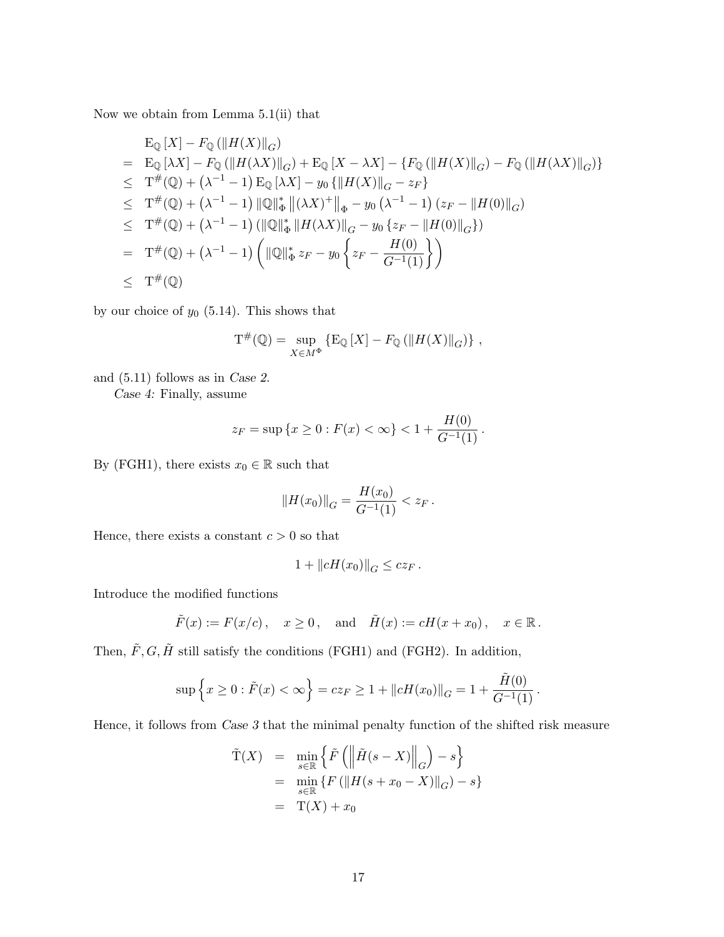Now we obtain from Lemma 5.1(ii) that

$$
\begin{aligned}\n&E_{\mathbb{Q}}[X] - F_{\mathbb{Q}}(\|H(X)\|_{G}) \\
&= E_{\mathbb{Q}}[\lambda X] - F_{\mathbb{Q}}(\|H(\lambda X)\|_{G}) + E_{\mathbb{Q}}[X - \lambda X] - \{F_{\mathbb{Q}}(\|H(X)\|_{G}) - F_{\mathbb{Q}}(\|H(\lambda X)\|_{G})\} \\
&\leq T^{\#}(\mathbb{Q}) + (\lambda^{-1} - 1) E_{\mathbb{Q}}[\lambda X] - y_{0} \{\|H(X)\|_{G} - z_{F}\} \\
&\leq T^{\#}(\mathbb{Q}) + (\lambda^{-1} - 1) \|\mathbb{Q}\|_{\Phi}^{*} \|(\lambda X)^{+}\|_{\Phi} - y_{0} (\lambda^{-1} - 1) (z_{F} - \|H(0)\|_{G}) \\
&\leq T^{\#}(\mathbb{Q}) + (\lambda^{-1} - 1) (\|\mathbb{Q}\|_{\Phi}^{*} \|H(\lambda X)\|_{G} - y_{0} \{z_{F} - \|H(0)\|_{G}\}) \\
&= T^{\#}(\mathbb{Q}) + (\lambda^{-1} - 1) \left( \|\mathbb{Q}\|_{\Phi}^{*} z_{F} - y_{0} \left\{z_{F} - \frac{H(0)}{G^{-1}(1)}\right\} \right) \\
&\leq T^{\#}(\mathbb{Q})\n\end{aligned}
$$

by our choice of  $y_0$  (5.14). This shows that

$$
\mathcal{T}^{\#}(\mathbb{Q}) = \sup_{X \in M^{\Phi}} \left\{ \mathcal{E}_{\mathbb{Q}} \left[ X \right] - F_{\mathbb{Q}} \left( \left\| H(X) \right\|_{G} \right) \right\},\,
$$

and (5.11) follows as in Case 2.

Case 4: Finally, assume

$$
z_F = \sup \{x \ge 0 : F(x) < \infty\} < 1 + \frac{H(0)}{G^{-1}(1)}.
$$

By (FGH1), there exists  $x_0 \in \mathbb{R}$  such that

$$
||H(x_0)||_G = \frac{H(x_0)}{G^{-1}(1)} < z_F.
$$

Hence, there exists a constant  $c > 0$  so that

$$
1 + \|cH(x_0)\|_G \leq cz_F.
$$

Introduce the modified functions

$$
\tilde{F}(x) := F(x/c), \quad x \ge 0, \text{ and } \tilde{H}(x) := cH(x+x_0), \quad x \in \mathbb{R}.
$$

Then,  $\tilde{F}, G, \tilde{H}$  still satisfy the conditions (FGH1) and (FGH2). In addition,

$$
\sup \left\{ x \ge 0 : \tilde{F}(x) < \infty \right\} = c z_F \ge 1 + \| c H(x_0) \|_G = 1 + \frac{\tilde{H}(0)}{G^{-1}(1)} \, .
$$

Hence, it follows from Case 3 that the minimal penalty function of the shifted risk measure

$$
\tilde{T}(X) = \min_{s \in \mathbb{R}} \left\{ \tilde{F}\left( \left\| \tilde{H}(s - X) \right\|_{G} \right) - s \right\}
$$
\n
$$
= \min_{s \in \mathbb{R}} \left\{ F\left( \left\| H(s + x_{0} - X) \right\|_{G} \right) - s \right\}
$$
\n
$$
= T(X) + x_{0}
$$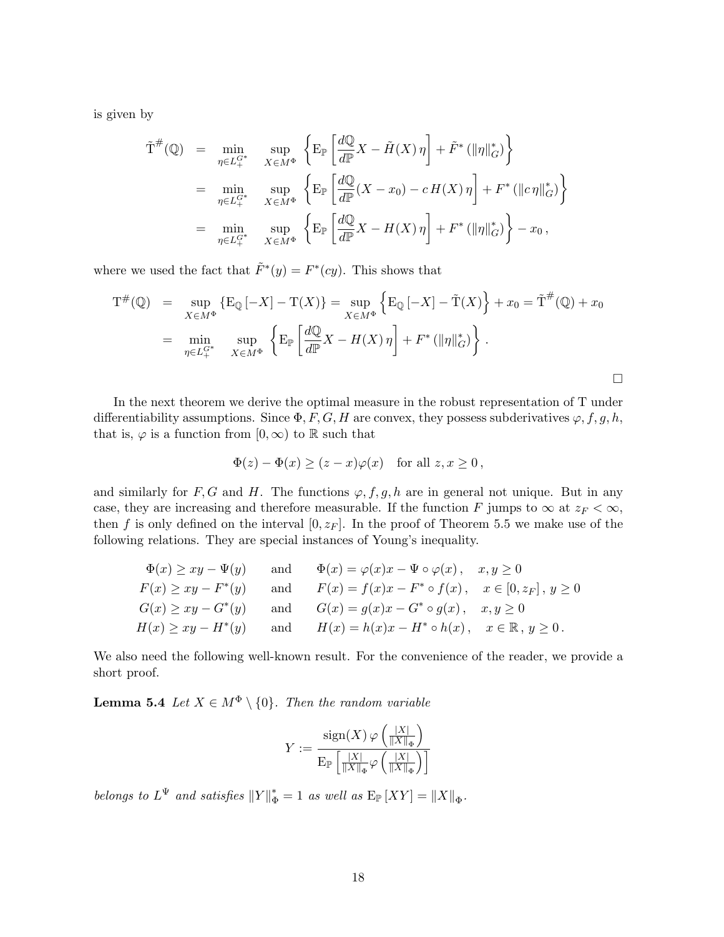is given by

$$
\tilde{T}^{\#}(\mathbb{Q}) = \min_{\eta \in L_{+}^{G^{*}}} \sup_{X \in M^{\Phi}} \left\{ \mathbf{E}_{\mathbb{P}} \left[ \frac{d\mathbb{Q}}{d\mathbb{P}} X - \tilde{H}(X) \eta \right] + \tilde{F}^{*} \left( \|\eta\|_{G}^{*} \right) \right\}
$$
\n
$$
= \min_{\eta \in L_{+}^{G^{*}}} \sup_{X \in M^{\Phi}} \left\{ \mathbf{E}_{\mathbb{P}} \left[ \frac{d\mathbb{Q}}{d\mathbb{P}} (X - x_{0}) - c H(X) \eta \right] + F^{*} \left( \|\mathbf{c}\eta\|_{G}^{*} \right) \right\}
$$
\n
$$
= \min_{\eta \in L_{+}^{G^{*}}} \sup_{X \in M^{\Phi}} \left\{ \mathbf{E}_{\mathbb{P}} \left[ \frac{d\mathbb{Q}}{d\mathbb{P}} X - H(X) \eta \right] + F^{*} \left( \|\eta\|_{G}^{*} \right) \right\} - x_{0},
$$

where we used the fact that  $\tilde{F}^*(y) = F^*(cy)$ . This shows that

$$
T^{\#}(\mathbb{Q}) = \sup_{X \in M^{\Phi}} \{ E_{\mathbb{Q}} [-X] - T(X) \} = \sup_{X \in M^{\Phi}} \left\{ E_{\mathbb{Q}} [-X] - \tilde{T}(X) \right\} + x_0 = \tilde{T}^{\#}(\mathbb{Q}) + x_0
$$
  
= 
$$
\min_{\eta \in L_+^{G^*}} \sup_{X \in M^{\Phi}} \left\{ E_{\mathbb{P}} \left[ \frac{d\mathbb{Q}}{d\mathbb{P}} X - H(X) \eta \right] + F^* (\|\eta\|_G^*) \right\}.
$$

In the next theorem we derive the optimal measure in the robust representation of T under differentiability assumptions. Since  $\Phi$ , F, G, H are convex, they possess subderivatives  $\varphi$ , f, g, h, that is,  $\varphi$  is a function from  $[0, \infty)$  to R such that

$$
\Phi(z) - \Phi(x) \ge (z - x)\varphi(x) \quad \text{for all } z, x \ge 0,
$$

and similarly for F, G and H. The functions  $\varphi$ , f, g, h are in general not unique. But in any case, they are increasing and therefore measurable. If the function F jumps to  $\infty$  at  $z_F < \infty$ , then f is only defined on the interval  $[0, z_F]$ . In the proof of Theorem 5.5 we make use of the following relations. They are special instances of Young's inequality.

$$
\Phi(x) \ge xy - \Psi(y) \quad \text{and} \quad \Phi(x) = \varphi(x)x - \Psi \circ \varphi(x), \quad x, y \ge 0
$$
  
\n
$$
F(x) \ge xy - F^*(y) \quad \text{and} \quad F(x) = f(x)x - F^* \circ f(x), \quad x \in [0, z_F], y \ge 0
$$
  
\n
$$
G(x) \ge xy - G^*(y) \quad \text{and} \quad G(x) = g(x)x - G^* \circ g(x), \quad x, y \ge 0
$$
  
\n
$$
H(x) \ge xy - H^*(y) \quad \text{and} \quad H(x) = h(x)x - H^* \circ h(x), \quad x \in \mathbb{R}, y \ge 0.
$$

We also need the following well-known result. For the convenience of the reader, we provide a short proof.

**Lemma 5.4** Let  $X \in M^{\Phi} \setminus \{0\}$ . Then the random variable

$$
Y:=\frac{\mathrm{sign}(X)\,\varphi\left(\frac{|X|}{\|X\|_\Phi}\right)}{\mathrm{E}_{\mathbb{P}}\left[\frac{|X|}{\|X\|_\Phi}\varphi\left(\frac{|X|}{\|X\|_\Phi}\right)\right]}
$$

belongs to  $L^{\Psi}$  and satisfies  $||Y||_{\Phi}^* = 1$  as well as  $E_{\mathbb{P}}[XY] = ||X||_{\Phi}$ .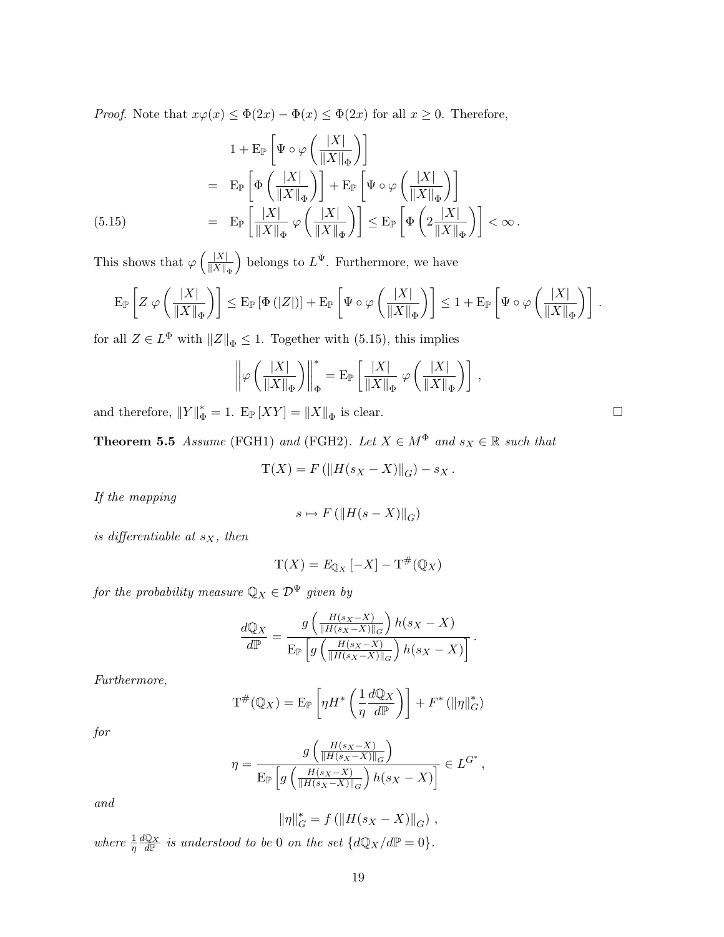*Proof.* Note that  $x\varphi(x) \leq \Phi(2x) - \Phi(x) \leq \Phi(2x)$  for all  $x \geq 0$ . Therefore,

$$
1 + \mathbf{E}_{\mathbb{P}}\left[\Psi \circ \varphi\left(\frac{|X|}{\|X\|_{\Phi}}\right)\right]
$$
  
\n
$$
= \mathbf{E}_{\mathbb{P}}\left[\Phi\left(\frac{|X|}{\|X\|_{\Phi}}\right)\right] + \mathbf{E}_{\mathbb{P}}\left[\Psi \circ \varphi\left(\frac{|X|}{\|X\|_{\Phi}}\right)\right]
$$
  
\n(5.15)  
\n
$$
= \mathbf{E}_{\mathbb{P}}\left[\frac{|X|}{\|X\|_{\Phi}}\varphi\left(\frac{|X|}{\|X\|_{\Phi}}\right)\right] \le \mathbf{E}_{\mathbb{P}}\left[\Phi\left(2\frac{|X|}{\|X\|_{\Phi}}\right)\right] < \infty.
$$

This shows that  $\varphi$  $\sqrt{|X|}$  $\left\Vert X\right\Vert _{\Phi}$ belongs to  $L^{\Psi}$ . Furthermore, we have

$$
\mathrm{E}_{\mathbb{P}}\left[Z \; \varphi\left(\frac{|X|}{\|X\|_{\Phi}}\right)\right] \leq \mathrm{E}_{\mathbb{P}}\left[\Phi\left(|Z|\right)\right] + \mathrm{E}_{\mathbb{P}}\left[\Psi\circ\varphi\left(\frac{|X|}{\|X\|_{\Phi}}\right)\right] \leq 1 + \mathrm{E}_{\mathbb{P}}\left[\Psi\circ\varphi\left(\frac{|X|}{\|X\|_{\Phi}}\right)\right] \; .
$$

for all  $Z \in L^{\Phi}$  with  $||Z||_{\Phi} \leq 1$ . Together with (5.15), this implies

$$
\left\|\varphi\left(\frac{|X|}{\|X\|_\Phi}\right)\right\|_\Phi^* = \mathrm{E}_{\mathbb{P}}\left[\frac{|X|}{\|X\|_\Phi} \; \varphi\left(\frac{|X|}{\|X\|_\Phi}\right)\right] \,,
$$

and therefore,  $||Y||_{\Phi}^* = 1$ .  $E_{\mathbb{P}}[XY] = ||X||_{\Phi}$  is clear.

**Theorem 5.5** Assume (FGH1) and (FGH2). Let  $X \in M^{\Phi}$  and  $s_X \in \mathbb{R}$  such that

$$
T(X) = F(||H(s_X - X)||_G) - s_X.
$$

If the mapping

$$
s \mapsto F\left(\left\|H(s - X)\right\|_{G}\right)
$$

is differentiable at  $s_X$ , then

$$
\mathrm{T}(X) = E_{\mathbb{Q}_X}[-X] - \mathrm{T}^{\#}(\mathbb{Q}_X)
$$

for the probability measure  $\mathbb{Q}_X \in \mathcal{D}^{\Psi}$  given by

$$
\frac{dQ_X}{d\mathbb{P}} = \frac{g\left(\frac{H(s_X - X)}{\|H(s_X - X)\|_G}\right)h(s_X - X)}{\mathbb{E}_{\mathbb{P}}\left[g\left(\frac{H(s_X - X)}{\|H(s_X - X)\|_G}\right)h(s_X - X)\right]}.
$$

Furthermore,

$$
\mathbf{T}^{\#}(\mathbb{Q}_X) = \mathrm{E}_{\mathbb{P}}\left[\eta H^*\left(\frac{1}{\eta}\frac{d\mathbb{Q}_X}{d\mathbb{P}}\right)\right] + F^*\left(\|\eta\|_G^*\right)
$$

for

$$
\eta = \frac{g\left(\frac{H(s_X - X)}{\|H(s_X - X)\|_G}\right)}{\mathbb{E}_{\mathbb{P}}\left[g\left(\frac{H(s_X - X)}{\|H(s_X - X)\|_G}\right)h(s_X - X)\right]} \in L^{G^*},
$$

and

$$
\|\eta\|_G^* = f(\|H(s_X - X)\|_G),
$$

where  $\frac{1}{\eta} \frac{d\mathbb{Q}_X}{d\mathbb{P}}$  is understood to be 0 on the set  $\{d\mathbb{Q}_X/d\mathbb{P} = 0\}.$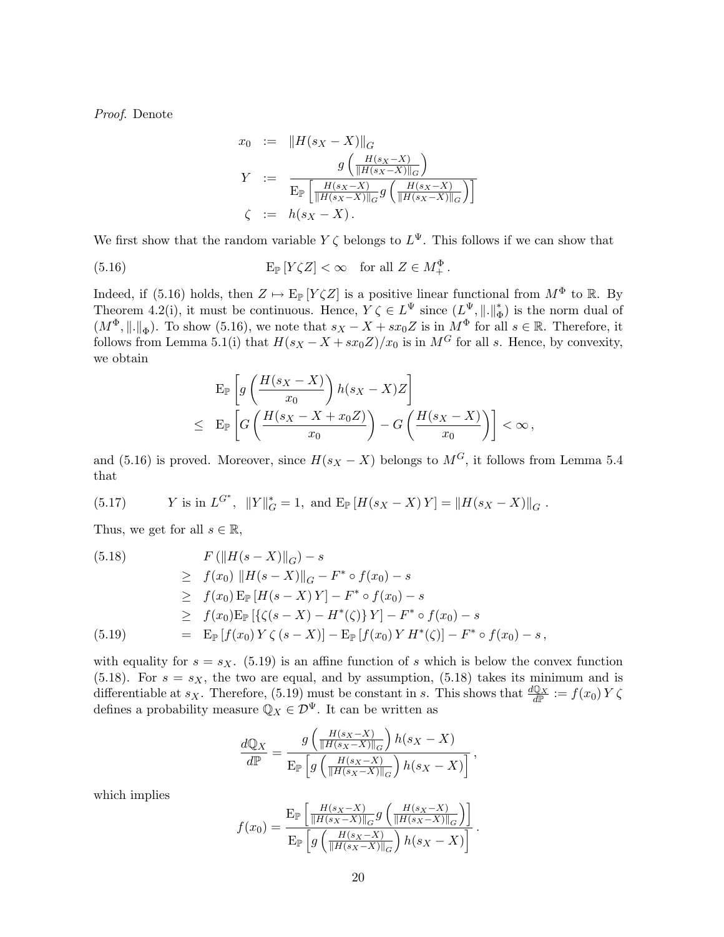Proof. Denote

$$
x_0 := \|H(s_X - X)\|_G
$$
  
\n
$$
Y := \frac{g\left(\frac{H(s_X - X)}{\|H(s_X - X)\|_G}\right)}{\mathbb{E}_{\mathbb{P}}\left[\frac{H(s_X - X)}{\|H(s_X - X)\|_G}g\left(\frac{H(s_X - X)}{\|H(s_X - X)\|_G}\right)\right]}
$$
  
\n
$$
\zeta := h(s_X - X).
$$

We first show that the random variable  $Y \zeta$  belongs to  $L^{\Psi}$ . This follows if we can show that

(5.16) 
$$
\mathbf{E}_{\mathbb{P}}\left[Y\zeta Z\right]<\infty \quad \text{for all } Z\in M_{+}^{\Phi}.
$$

Indeed, if (5.16) holds, then  $Z \mapsto E_{\mathbb{P}}[Y \zeta Z]$  is a positive linear functional from  $M^{\Phi}$  to  $\mathbb{R}$ . By Theorem 4.2(i), it must be continuous. Hence,  $Y \zeta \in L^{\Psi}$  since  $(L^{\Psi}, \| \|_{\mathfrak{a}}^{\mathfrak{h}})$  $_{\Phi}^*$ ) is the norm dual of  $(M^{\Phi}, \|\cdot\|_{\Phi})$ . To show (5.16), we note that  $s_X - X + sx_0Z$  is in  $M^{\Phi}$  for all  $s \in \mathbb{R}$ . Therefore, it follows from Lemma 5.1(i) that  $H(s_X - X + sx_0Z)/x_0$  is in  $M<sup>G</sup>$  for all s. Hence, by convexity, we obtain

$$
\mathbf{E}_{\mathbb{P}}\left[g\left(\frac{H(s_X - X)}{x_0}\right)h(s_X - X)Z\right]
$$
  

$$
\leq \mathbf{E}_{\mathbb{P}}\left[G\left(\frac{H(s_X - X + x_0Z)}{x_0}\right) - G\left(\frac{H(s_X - X)}{x_0}\right)\right] < \infty,
$$

and (5.16) is proved. Moreover, since  $H(s_X - X)$  belongs to  $M<sup>G</sup>$ , it follows from Lemma 5.4 that

(5.17) 
$$
Y
$$
 is in  $L^{G^*}$ ,  $||Y||_G^* = 1$ , and  $E_{\mathbb{P}}[H(s_X - X)Y] = ||H(s_X - X)||_G$ .

Thus, we get for all  $s \in \mathbb{R}$ ,

(5.18) 
$$
F(||H(s - X)||_G) - s
$$
  
\n
$$
\geq f(x_0) ||H(s - X)||_G - F^* \circ f(x_0) - s
$$
  
\n
$$
\geq f(x_0) \mathbb{E}_{\mathbb{P}} [H(s - X)Y] - F^* \circ f(x_0) - s
$$
  
\n
$$
\geq f(x_0) \mathbb{E}_{\mathbb{P}} [\{(s - X) - H^*(\zeta)\}Y] - F^* \circ f(x_0) - s
$$
  
\n(5.19) 
$$
= \mathbb{E}_{\mathbb{P}} [f(x_0) Y \zeta (s - X)] - \mathbb{E}_{\mathbb{P}} [f(x_0) Y H^*(\zeta)] - F^* \circ f(x_0) - s,
$$

with equality for  $s = s_X$ . (5.19) is an affine function of s which is below the convex function (5.18). For  $s = s_X$ , the two are equal, and by assumption, (5.18) takes its minimum and is differentiable at  $s_X$ . Therefore, (5.19) must be constant in s. This shows that  $\frac{dQ_X}{dP} := f(x_0) Y \zeta$ defines a probability measure  $\mathbb{Q}_X \in \mathcal{D}^{\Psi}$ . It can be written as

$$
\frac{dQ_X}{d\mathbb{P}} = \frac{g\left(\frac{H(s_X - X)}{\|H(s_X - X)\|_G}\right)h(s_X - X)}{\mathbb{E}_{\mathbb{P}}\left[g\left(\frac{H(s_X - X)}{\|H(s_X - X)\|_G}\right)h(s_X - X)\right]},
$$

which implies

$$
f(x_0) = \frac{\mathcal{E}_{\mathbb{P}}\left[\frac{H(s_X - X)}{\|H(s_X - X)\|_G}g\left(\frac{H(s_X - X)}{\|H(s_X - X)\|_G}\right)\right]}{\mathcal{E}_{\mathbb{P}}\left[g\left(\frac{H(s_X - X)}{\|H(s_X - X)\|_G}\right)h(s_X - X)\right]}.
$$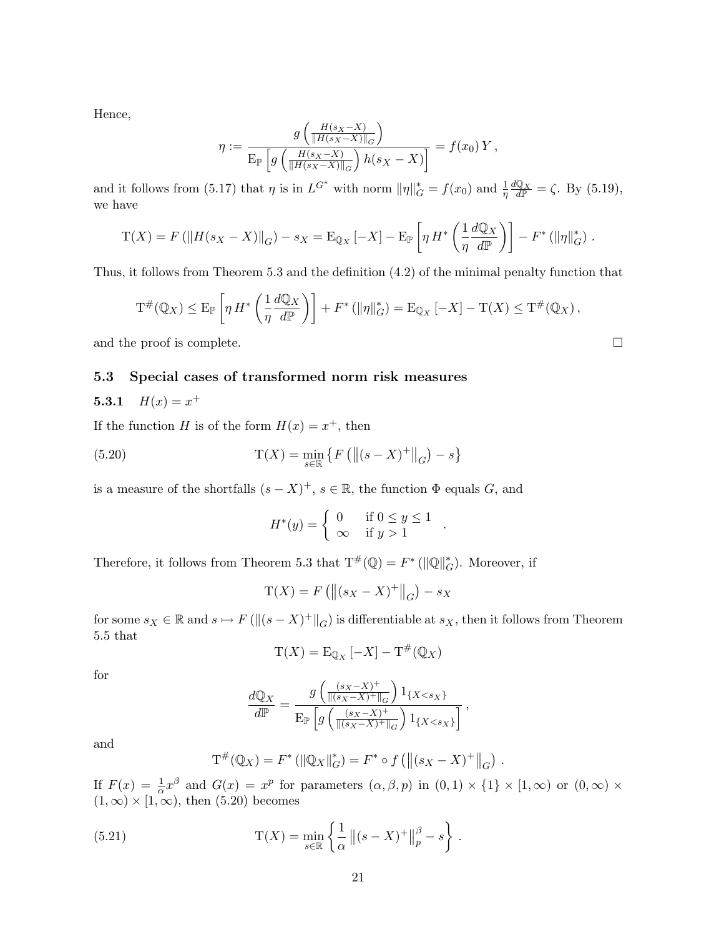Hence,

$$
\eta := \frac{g\left(\frac{H(s_X - X)}{\|H(s_X - X)\|_G}\right)}{\mathbb{E}_{\mathbb{P}}\left[g\left(\frac{H(s_X - X)}{\|H(s_X - X)\|_G}\right)h(s_X - X)\right]} = f(x_0)Y,
$$

and it follows from (5.17) that  $\eta$  is in  $L^{G^*}$  with norm  $\|\eta\|_G^* = f(x_0)$  and  $\frac{1}{\eta} \frac{dQ_X}{dP} = \zeta$ . By (5.19), we have

$$
\mathcal{T}(X) = F(||H(s_X - X)||_G) - s_X = \mathcal{E}_{\mathbb{Q}_X}[-X] - \mathcal{E}_{\mathbb{P}}\left[\eta H^*\left(\frac{1}{\eta}\frac{d\mathbb{Q}_X}{d\mathbb{P}}\right)\right] - F^*(||\eta||_G^*).
$$

Thus, it follows from Theorem 5.3 and the definition (4.2) of the minimal penalty function that

$$
\mathrm{T}^{\#}(\mathbb{Q}_X) \leq \mathrm{E}_{\mathbb{P}}\left[\eta H^*\left(\frac{1}{\eta} \frac{d\mathbb{Q}_X}{d\mathbb{P}}\right)\right] + F^*\left(\|\eta\|_G^*\right) = \mathrm{E}_{\mathbb{Q}_X}\left[-X\right] - \mathrm{T}(X) \leq \mathrm{T}^{\#}(\mathbb{Q}_X),
$$

and the proof is complete.  $\Box$ 

### 5.3 Special cases of transformed norm risk measures

### 5.3.1  $H(x) = x^+$

If the function H is of the form  $H(x) = x^+$ , then

(5.20) 
$$
T(X) = \min_{s \in \mathbb{R}} \{ F (|| (s - X)^{+} ||_{G}) - s \}
$$

is a measure of the shortfalls  $(s - X)^+$ ,  $s \in \mathbb{R}$ , the function  $\Phi$  equals G, and

$$
H^*(y) = \begin{cases} 0 & \text{if } 0 \le y \le 1 \\ \infty & \text{if } y > 1 \end{cases}
$$

.

.

Therefore, it follows from Theorem 5.3 that  $T^{\#}(\mathbb{Q}) = F^* (\|\mathbb{Q}\|_{G}^*)$ . Moreover, if

$$
T(X) = F(||(s_X - X)^+||_G) - s_X
$$

for some  $s_X \in \mathbb{R}$  and  $s \mapsto F(\|(s - X)^+\|_G)$  is differentiable at  $s_X$ , then it follows from Theorem 5.5 that

$$
\mathrm{T}(X) = \mathrm{E}_{\mathbb{Q}_X}[-X] - \mathrm{T}^{\#}(\mathbb{Q}_X)
$$

for

$$
\frac{d\mathbb{Q}_X}{d\mathbb{P}} = \frac{g\left(\frac{(s_X - X)^+}{\|(s_X - X)^+\|_G}\right)1_{\{X < s_X\}}}{\mathbb{E}_{\mathbb{P}}\left[g\left(\frac{(s_X - X)^+}{\|(s_X - X)^+\|_G}\right)1_{\{X < s_X\}}\right]},
$$

and

$$
T^{\#}(\mathbb{Q}_X) = F^* \left( \|\mathbb{Q}_X\|_G^* \right) = F^* \circ f \left( \left\| (s_X - X)^+ \right\|_G \right)
$$

If  $F(x) = \frac{1}{\alpha}x^{\beta}$  and  $G(x) = x^{p}$  for parameters  $(\alpha, \beta, p)$  in  $(0, 1) \times \{1\} \times [1, \infty)$  or  $(0, \infty) \times$  $(1, \infty) \times [1, \infty)$ , then  $(5.20)$  becomes

(5.21) 
$$
T(X) = \min_{s \in \mathbb{R}} \left\{ \frac{1}{\alpha} ||(s - X)^{+}||_{p}^{\beta} - s \right\}.
$$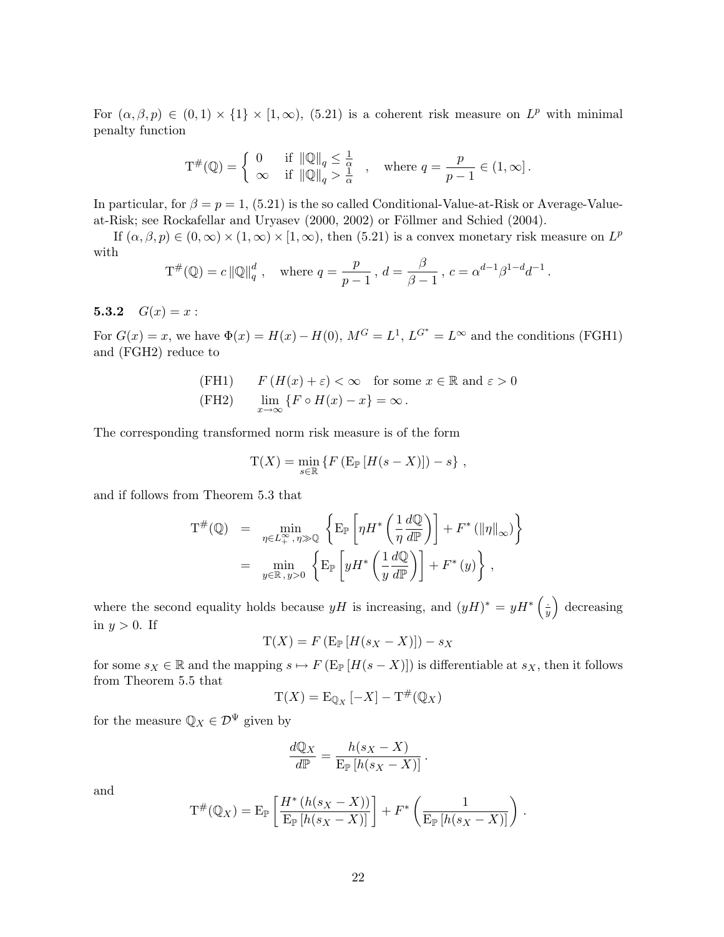For  $(\alpha, \beta, p) \in (0, 1) \times \{1\} \times [1, \infty)$ , (5.21) is a coherent risk measure on  $L^p$  with minimal penalty function

$$
\mathcal{T}^{\#}(\mathbb{Q}) = \begin{cases} 0 & \text{if } \|\mathbb{Q}\|_{q} \leq \frac{1}{\alpha} \\ \infty & \text{if } \|\mathbb{Q}\|_{q} > \frac{1}{\alpha} \end{cases}, \text{ where } q = \frac{p}{p-1} \in (1, \infty].
$$

In particular, for  $\beta = p = 1$ , (5.21) is the so called Conditional-Value-at-Risk or Average-Valueat-Risk; see Rockafellar and Uryasev (2000, 2002) or Föllmer and Schied (2004).

If  $(\alpha, \beta, p) \in (0, \infty) \times (1, \infty) \times [1, \infty)$ , then  $(5.21)$  is a convex monetary risk measure on  $L^p$ with

$$
T^{\#}(\mathbb{Q}) = c \|\mathbb{Q}\|_q^d
$$
, where  $q = \frac{p}{p-1}$ ,  $d = \frac{\beta}{\beta - 1}$ ,  $c = \alpha^{d-1}\beta^{1-d}d^{-1}$ .

5.3.2  $G(x) = x$ :

For  $G(x) = x$ , we have  $\Phi(x) = H(x) - H(0)$ ,  $M^G = L^1$ ,  $L^{G^*} = L^{\infty}$  and the conditions (FGH1) and (FGH2) reduce to

(FH1) 
$$
F(H(x) + \varepsilon) < \infty
$$
 for some  $x \in \mathbb{R}$  and  $\varepsilon > 0$   
(FH2)  $\lim_{x \to \infty} \{ F \circ H(x) - x \} = \infty$ .

The corresponding transformed norm risk measure is of the form

$$
T(X) = \min_{s \in \mathbb{R}} \left\{ F \left( E_{\mathbb{P}} \left[ H(s - X) \right] \right) - s \right\},\,
$$

and if follows from Theorem 5.3 that

$$
T^{\#}(\mathbb{Q}) = \min_{\eta \in L^{\infty}_{+}, \eta \gg \mathbb{Q}} \left\{ E_{\mathbb{P}} \left[ \eta H^* \left( \frac{1}{\eta} \frac{d\mathbb{Q}}{d\mathbb{P}} \right) \right] + F^* \left( \|\eta\|_{\infty} \right) \right\}
$$
  
= 
$$
\min_{y \in \mathbb{R}, y > 0} \left\{ E_{\mathbb{P}} \left[ y H^* \left( \frac{1}{y} \frac{d\mathbb{Q}}{d\mathbb{P}} \right) \right] + F^*(y) \right\},
$$

where the second equality holds because  $yH$  is increasing, and  $(yH)^* = yH^*$  $\overline{1}$ .  $\overline{y}$ ´ decreasing in  $y > 0$ . If

$$
T(X) = F(E_{\mathbb{P}}[H(s_X - X)]) - s_X
$$

for some  $s_X \in \mathbb{R}$  and the mapping  $s \mapsto F(\mathbb{E}_{\mathbb{P}}[H(s - X)])$  is differentiable at  $s_X$ , then it follows from Theorem 5.5 that

$$
\mathrm{T}(X) = \mathrm{E}_{\mathbb{Q}_X}[-X] - \mathrm{T}^{\#}(\mathbb{Q}_X)
$$

for the measure  $\mathbb{Q}_X \in \mathcal{D}^{\Psi}$  given by

$$
\frac{dQ_X}{dP} = \frac{h(s_X - X)}{\mathop{\mathrm{E}}\limits_{P} [h(s_X - X)]}.
$$

and

$$
\mathcal{T}^{\#}(\mathbb{Q}_X) = \mathcal{E}_{\mathbb{P}}\left[\frac{H^*\left(h(s_X - X)\right)}{\mathcal{E}_{\mathbb{P}}\left[h(s_X - X)\right]}\right] + F^*\left(\frac{1}{\mathcal{E}_{\mathbb{P}}\left[h(s_X - X)\right]}\right).
$$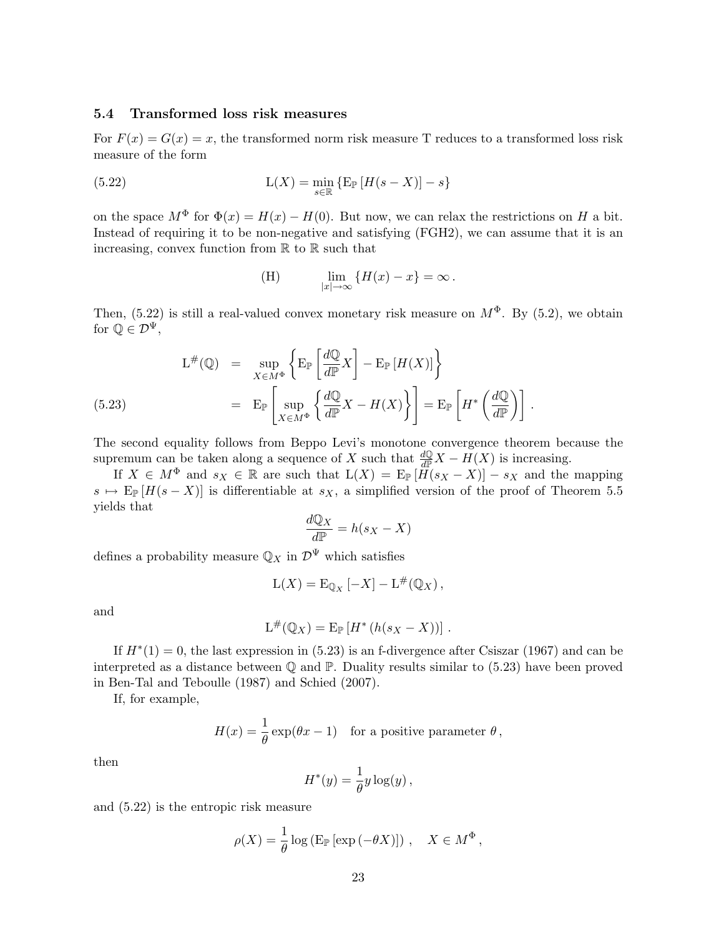### 5.4 Transformed loss risk measures

For  $F(x) = G(x) = x$ , the transformed norm risk measure T reduces to a transformed loss risk measure of the form

(5.22) 
$$
L(X) = \min_{s \in \mathbb{R}} \left\{ E_{\mathbb{P}} \left[ H(s - X) \right] - s \right\}
$$

on the space  $M^{\Phi}$  for  $\Phi(x) = H(x) - H(0)$ . But now, we can relax the restrictions on H a bit. Instead of requiring it to be non-negative and satisfying (FGH2), we can assume that it is an increasing, convex function from  $\mathbb R$  to  $\mathbb R$  such that

(H) 
$$
\lim_{|x| \to \infty} \{H(x) - x\} = \infty.
$$

Then, (5.22) is still a real-valued convex monetary risk measure on  $M^{\Phi}$ . By (5.2), we obtain for  $\mathbb{Q} \in \mathcal{D}^{\Psi}$ ,

$$
L^{\#}(\mathbb{Q}) = \sup_{X \in M^{\Phi}} \left\{ E_{\mathbb{P}} \left[ \frac{d\mathbb{Q}}{d\mathbb{P}} X \right] - E_{\mathbb{P}} \left[ H(X) \right] \right\}
$$
  
(5.23)  

$$
= E_{\mathbb{P}} \left[ \sup_{X \in M^{\Phi}} \left\{ \frac{d\mathbb{Q}}{d\mathbb{P}} X - H(X) \right\} \right] = E_{\mathbb{P}} \left[ H^* \left( \frac{d\mathbb{Q}}{d\mathbb{P}} \right) \right].
$$

The second equality follows from Beppo Levi's monotone convergence theorem because the supremum can be taken along a sequence of X such that  $\frac{dQ}{dP}X - H(X)$  is increasing.

If  $X \in M^{\Phi}$  and  $s_X \in \mathbb{R}$  are such that  $L(X) = E_{\mathbb{P}}[\tilde{H}(s_X - X)] - s_X$  and the mapping  $s \mapsto E_{\mathbb{P}}[H(s-X)]$  is differentiable at  $s_X$ , a simplified version of the proof of Theorem 5.5 yields that  $\overline{10}$ 

$$
\frac{dQ_X}{dP} = h(s_X - X)
$$

defines a probability measure  $\mathbb{Q}_X$  in  $\mathcal{D}^{\Psi}$  which satisfies

$$
L(X) = E_{\mathbb{Q}_X} [-X] - L^{\#}(\mathbb{Q}_X),
$$

and

$$
L^{\#}(\mathbb{Q}_X) = \mathrm{E}_{\mathbb{P}}\left[H^*\left(h(s_X - X)\right)\right].
$$

If  $H^*(1) = 0$ , the last expression in (5.23) is an f-divergence after Csiszar (1967) and can be interpreted as a distance between  $\mathbb Q$  and  $\mathbb P$ . Duality results similar to (5.23) have been proved in Ben-Tal and Teboulle (1987) and Schied (2007).

If, for example,

$$
H(x) = \frac{1}{\theta} \exp(\theta x - 1)
$$
 for a positive parameter  $\theta$ ,

then

$$
H^*(y) = \frac{1}{\theta} y \log(y) ,
$$

and (5.22) is the entropic risk measure

$$
\rho(X) = \frac{1}{\theta} \log \left( \operatorname{E}_{\mathbb{P}} \left[ \exp \left( -\theta X \right) \right] \right), \quad X \in M^{\Phi},
$$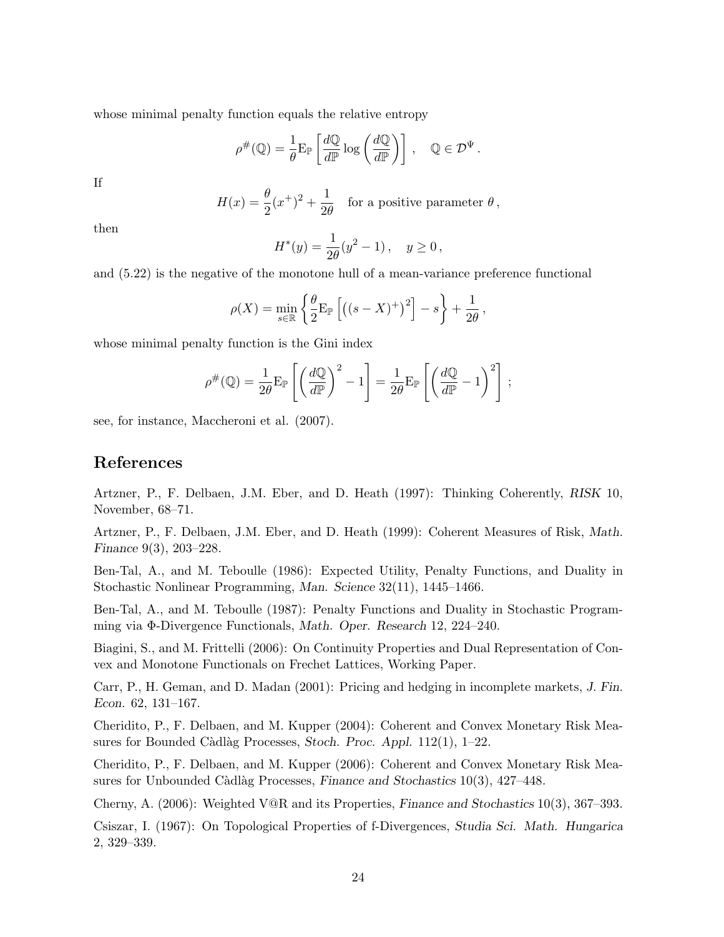whose minimal penalty function equals the relative entropy

$$
\rho^{\#}(\mathbb{Q}) = \frac{1}{\theta} \mathcal{E}_{\mathbb{P}} \left[ \frac{d\mathbb{Q}}{d\mathbb{P}} \log \left( \frac{d\mathbb{Q}}{d\mathbb{P}} \right) \right], \quad \mathbb{Q} \in \mathcal{D}^{\Psi}.
$$

If

 $H(x) = \frac{\theta}{2}(x^+)^2 + \frac{1}{2\theta}$  $\frac{1}{2\theta}$  for a positive parameter  $\theta$ ,

then

$$
H^*(y) = \frac{1}{2\theta}(y^2 - 1), \quad y \ge 0,
$$

and (5.22) is the negative of the monotone hull of a mean-variance preference functional

$$
\rho(X) = \min_{s \in \mathbb{R}} \left\{ \frac{\theta}{2} \mathbb{E}_{\mathbb{P}} \left[ \left( (s - X)^{+} \right)^{2} \right] - s \right\} + \frac{1}{2\theta},
$$

whose minimal penalty function is the Gini index

$$
\rho^{\#}(\mathbb{Q}) = \frac{1}{2\theta} \mathbf{E}_{\mathbb{P}} \left[ \left( \frac{d\mathbb{Q}}{d\mathbb{P}} \right)^2 - 1 \right] = \frac{1}{2\theta} \mathbf{E}_{\mathbb{P}} \left[ \left( \frac{d\mathbb{Q}}{d\mathbb{P}} - 1 \right)^2 \right];
$$

see, for instance, Maccheroni et al. (2007).

## References

Artzner, P., F. Delbaen, J.M. Eber, and D. Heath (1997): Thinking Coherently, RISK 10, November, 68–71.

Artzner, P., F. Delbaen, J.M. Eber, and D. Heath (1999): Coherent Measures of Risk, Math. Finance 9(3), 203–228.

Ben-Tal, A., and M. Teboulle (1986): Expected Utility, Penalty Functions, and Duality in Stochastic Nonlinear Programming, Man. Science 32(11), 1445–1466.

Ben-Tal, A., and M. Teboulle (1987): Penalty Functions and Duality in Stochastic Programming via Φ-Divergence Functionals, Math. Oper. Research 12, 224–240.

Biagini, S., and M. Frittelli (2006): On Continuity Properties and Dual Representation of Convex and Monotone Functionals on Frechet Lattices, Working Paper.

Carr, P., H. Geman, and D. Madan (2001): Pricing and hedging in incomplete markets, J. Fin. Econ. 62, 131–167.

Cheridito, P., F. Delbaen, and M. Kupper (2004): Coherent and Convex Monetary Risk Measures for Bounded Càdlàg Processes, Stoch. Proc. Appl.  $112(1)$ , 1–22.

Cheridito, P., F. Delbaen, and M. Kupper (2006): Coherent and Convex Monetary Risk Measures for Unbounded Càdlàg Processes, Finance and Stochastics  $10(3)$ ,  $427-448$ .

Cherny, A. (2006): Weighted V@R and its Properties, Finance and Stochastics 10(3), 367–393.

Csiszar, I. (1967): On Topological Properties of f-Divergences, Studia Sci. Math. Hungarica 2, 329–339.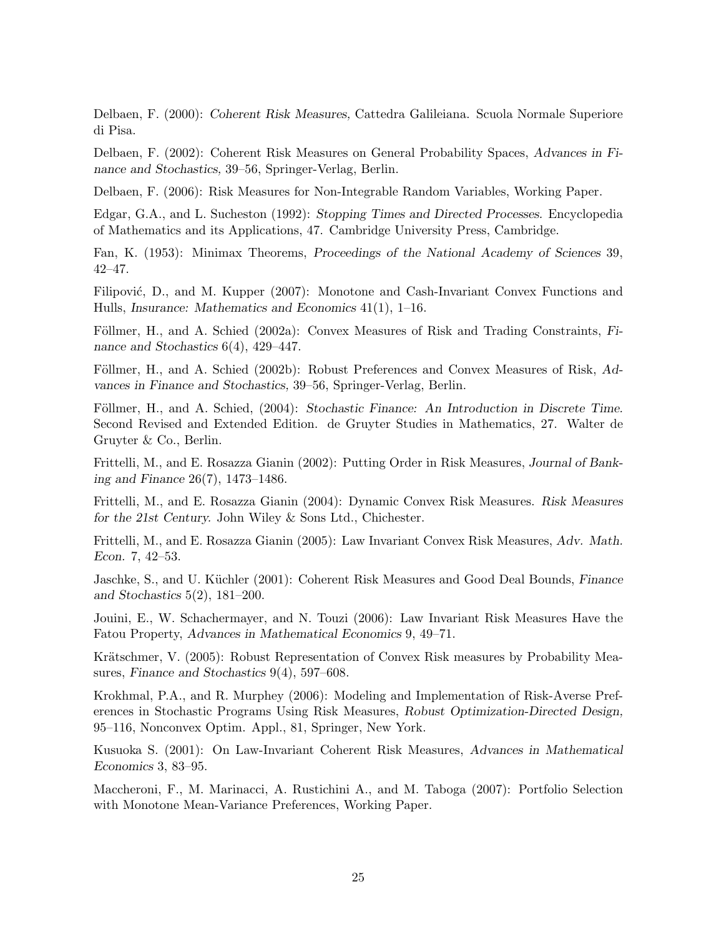Delbaen, F. (2000): Coherent Risk Measures, Cattedra Galileiana. Scuola Normale Superiore di Pisa.

Delbaen, F. (2002): Coherent Risk Measures on General Probability Spaces, Advances in Finance and Stochastics, 39–56, Springer-Verlag, Berlin.

Delbaen, F. (2006): Risk Measures for Non-Integrable Random Variables, Working Paper.

Edgar, G.A., and L. Sucheston (1992): Stopping Times and Directed Processes. Encyclopedia of Mathematics and its Applications, 47. Cambridge University Press, Cambridge.

Fan, K. (1953): Minimax Theorems, Proceedings of the National Academy of Sciences 39, 42–47.

Filipović, D., and M. Kupper (2007): Monotone and Cash-Invariant Convex Functions and Hulls, Insurance: Mathematics and Economics 41(1), 1–16.

Föllmer, H., and A. Schied (2002a): Convex Measures of Risk and Trading Constraints, Finance and Stochastics 6(4), 429–447.

Föllmer, H., and A. Schied (2002b): Robust Preferences and Convex Measures of Risk, Advances in Finance and Stochastics, 39–56, Springer-Verlag, Berlin.

Föllmer, H., and A. Schied, (2004): Stochastic Finance: An Introduction in Discrete Time. Second Revised and Extended Edition. de Gruyter Studies in Mathematics, 27. Walter de Gruyter & Co., Berlin.

Frittelli, M., and E. Rosazza Gianin (2002): Putting Order in Risk Measures, Journal of Banking and Finance 26(7), 1473–1486.

Frittelli, M., and E. Rosazza Gianin (2004): Dynamic Convex Risk Measures. Risk Measures for the 21st Century. John Wiley & Sons Ltd., Chichester.

Frittelli, M., and E. Rosazza Gianin (2005): Law Invariant Convex Risk Measures, Adv. Math. Econ. 7, 42–53.

Jaschke, S., and U. Küchler (2001): Coherent Risk Measures and Good Deal Bounds, Finance and Stochastics 5(2), 181–200.

Jouini, E., W. Schachermayer, and N. Touzi (2006): Law Invariant Risk Measures Have the Fatou Property, Advances in Mathematical Economics 9, 49–71.

Krätschmer, V. (2005): Robust Representation of Convex Risk measures by Probability Measures, Finance and Stochastics 9(4), 597–608.

Krokhmal, P.A., and R. Murphey (2006): Modeling and Implementation of Risk-Averse Preferences in Stochastic Programs Using Risk Measures, Robust Optimization-Directed Design, 95–116, Nonconvex Optim. Appl., 81, Springer, New York.

Kusuoka S. (2001): On Law-Invariant Coherent Risk Measures, Advances in Mathematical Economics 3, 83–95.

Maccheroni, F., M. Marinacci, A. Rustichini A., and M. Taboga (2007): Portfolio Selection with Monotone Mean-Variance Preferences, Working Paper.